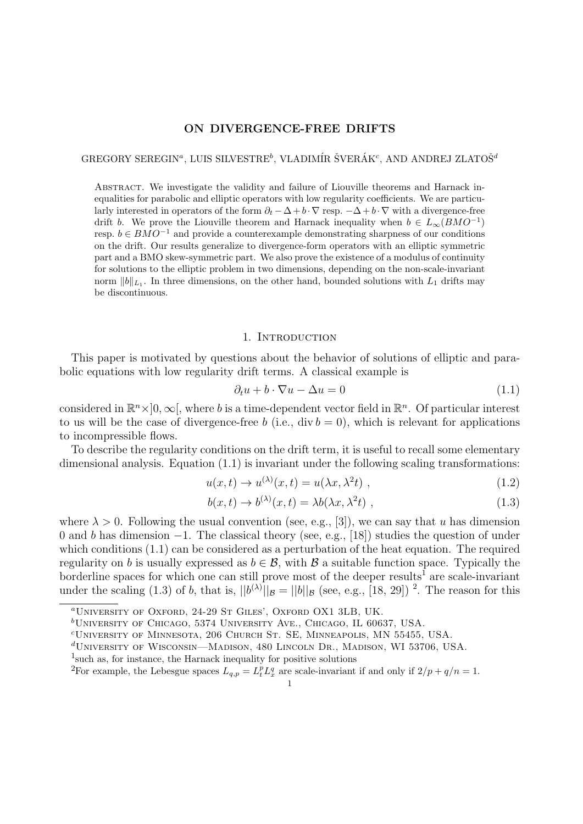### **ON DIVERGENCE-FREE DRIFTS**

GREGORY SEREGIN<sup>a</sup>, LUIS SILVESTRE<sup>b</sup>, VLADIMÍR ŠVERÁK<sup>c</sup>, AND ANDREJ ZLATOŠ<sup>d</sup>

ABSTRACT. We investigate the validity and failure of Liouville theorems and Harnack inequalities for parabolic and elliptic operators with low regularity coefficients. We are particularly interested in operators of the form  $\partial_t - \Delta + b \cdot \nabla$  resp.  $-\Delta + b \cdot \nabla$  with a divergence-free drift *b*. We prove the Liouville theorem and Harnack inequality when  $b \in L_{\infty}(BMO^{-1})$ resp. *b ∈ BMO−*<sup>1</sup> and provide a counterexample demonstrating sharpness of our conditions on the drift. Our results generalize to divergence-form operators with an elliptic symmetric part and a BMO skew-symmetric part. We also prove the existence of a modulus of continuity for solutions to the elliptic problem in two dimensions, depending on the non-scale-invariant norm  $||b||_{L_1}$ . In three dimensions, on the other hand, bounded solutions with  $L_1$  drifts may be discontinuous.

### 1. INTRODUCTION

This paper is motivated by questions about the behavior of solutions of elliptic and parabolic equations with low regularity drift terms. A classical example is

$$
\partial_t u + b \cdot \nabla u - \Delta u = 0 \tag{1.1}
$$

considered in  $\mathbb{R}^n \times ]0, \infty[$ , where *b* is a time-dependent vector field in  $\mathbb{R}^n$ . Of particular interest to us will be the case of divergence-free *b* (i.e., div  $b = 0$ ), which is relevant for applications to incompressible flows.

To describe the regularity conditions on the drift term, it is useful to recall some elementary dimensional analysis. Equation (1.1) is invariant under the following scaling transformations:

$$
u(x,t) \to u^{(\lambda)}(x,t) = u(\lambda x, \lambda^2 t) , \qquad (1.2)
$$

$$
b(x,t) \to b^{(\lambda)}(x,t) = \lambda b(\lambda x, \lambda^2 t) , \qquad (1.3)
$$

where  $\lambda > 0$ . Following the usual convention (see, e.g., [3]), we can say that *u* has dimension 0 and *b* has dimension *−*1. The classical theory (see, e.g., [18]) studies the question of under which conditions  $(1.1)$  can be considered as a perturbation of the heat equation. The required regularity on *b* is usually expressed as  $b \in \mathcal{B}$ , with  $\mathcal{B}$  a suitable function space. Typically the borderline spaces for which one can still prove most of the deeper results<sup>1</sup> are scale-invariant under the scaling (1.3) of *b*, that is,  $||b^{(\lambda)}||_B = ||b||_B$  (see, e.g., [18, 29])<sup>2</sup>. The reason for this

*<sup>a</sup>*University of Oxford, 24-29 St Giles', Oxford OX1 3LB, UK.

*<sup>b</sup>*University of Chicago, 5374 University Ave., Chicago, IL 60637, USA.

*<sup>c</sup>*University of Minnesota, 206 Church St. SE, Minneapolis, MN 55455, USA.

*<sup>d</sup>*University of Wisconsin—Madison, 480 Lincoln Dr., Madison, WI 53706, USA.

<sup>1</sup> such as, for instance, the Harnack inequality for positive solutions

<sup>&</sup>lt;sup>2</sup>For example, the Lebesgue spaces  $L_{q,p} = L_t^p L_x^q$  are scale-invariant if and only if  $2/p + q/n = 1$ .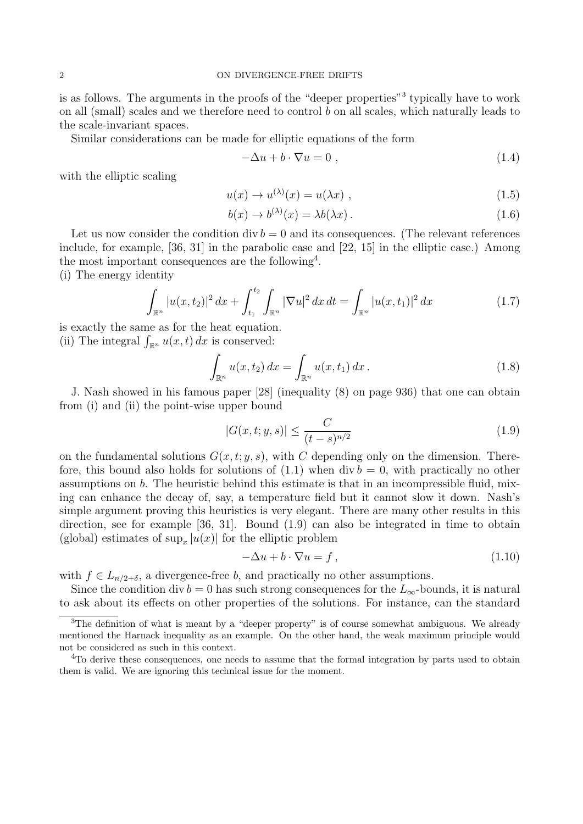is as follows. The arguments in the proofs of the "deeper properties"<sup>3</sup> typically have to work on all (small) scales and we therefore need to control *b* on all scales, which naturally leads to the scale-invariant spaces.

Similar considerations can be made for elliptic equations of the form

$$
-\Delta u + b \cdot \nabla u = 0 , \qquad (1.4)
$$

with the elliptic scaling

$$
u(x) \to u^{(\lambda)}(x) = u(\lambda x) , \qquad (1.5)
$$

$$
b(x) \to b^{(\lambda)}(x) = \lambda b(\lambda x). \tag{1.6}
$$

Let us now consider the condition div  $b = 0$  and its consequences. (The relevant references include, for example, [36, 31] in the parabolic case and [22, 15] in the elliptic case.) Among the most important consequences are the following<sup>4</sup>.

(i) The energy identity

$$
\int_{\mathbb{R}^n} |u(x, t_2)|^2 \, dx + \int_{t_1}^{t_2} \int_{\mathbb{R}^n} |\nabla u|^2 \, dx \, dt = \int_{\mathbb{R}^n} |u(x, t_1)|^2 \, dx \tag{1.7}
$$

is exactly the same as for the heat equation. (ii) The integral  $\int_{\mathbb{R}^n} u(x,t) dx$  is conserved:

$$
\int_{\mathbb{R}^n} u(x, t_2) dx = \int_{\mathbb{R}^n} u(x, t_1) dx.
$$
 (1.8)

J. Nash showed in his famous paper [28] (inequality (8) on page 936) that one can obtain from (i) and (ii) the point-wise upper bound

$$
|G(x,t;y,s)| \le \frac{C}{(t-s)^{n/2}}\tag{1.9}
$$

on the fundamental solutions  $G(x, t; y, s)$ , with C depending only on the dimension. Therefore, this bound also holds for solutions of  $(1.1)$  when div  $b = 0$ , with practically no other assumptions on *b*. The heuristic behind this estimate is that in an incompressible fluid, mixing can enhance the decay of, say, a temperature field but it cannot slow it down. Nash's simple argument proving this heuristics is very elegant. There are many other results in this direction, see for example [36, 31]. Bound (1.9) can also be integrated in time to obtain (global) estimates of  $\sup_x |u(x)|$  for the elliptic problem

$$
-\Delta u + b \cdot \nabla u = f, \qquad (1.10)
$$

with  $f \in L_{n/2+\delta}$ , a divergence-free *b*, and practically no other assumptions.

Since the condition div *b* = 0 has such strong consequences for the  $L_{\infty}$ -bounds, it is natural to ask about its effects on other properties of the solutions. For instance, can the standard

<sup>&</sup>lt;sup>3</sup>The definition of what is meant by a "deeper property" is of course somewhat ambiguous. We already mentioned the Harnack inequality as an example. On the other hand, the weak maximum principle would not be considered as such in this context.

<sup>&</sup>lt;sup>4</sup>To derive these consequences, one needs to assume that the formal integration by parts used to obtain them is valid. We are ignoring this technical issue for the moment.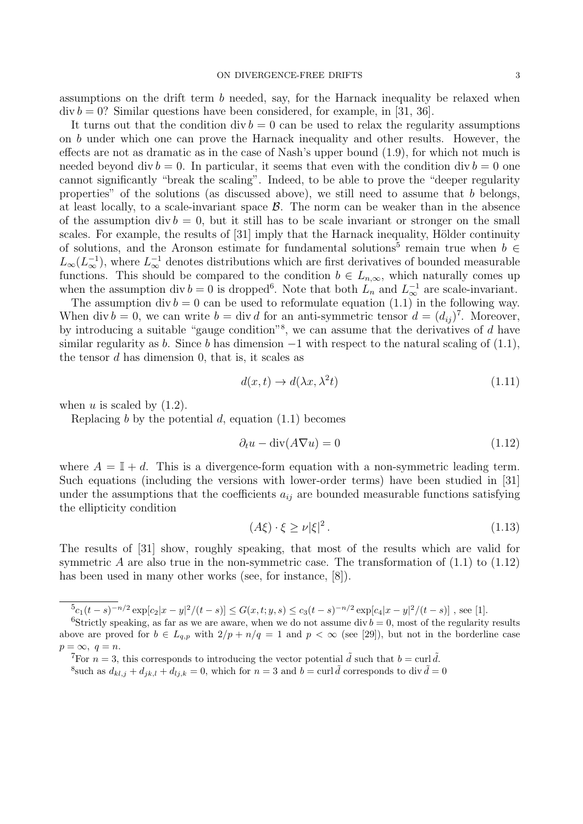assumptions on the drift term *b* needed, say, for the Harnack inequality be relaxed when  $div b = 0$ ? Similar questions have been considered, for example, in [31, 36].

It turns out that the condition  $\mathrm{div} b = 0$  can be used to relax the regularity assumptions on *b* under which one can prove the Harnack inequality and other results. However, the effects are not as dramatic as in the case of Nash's upper bound (1.9), for which not much is needed beyond div  $b = 0$ . In particular, it seems that even with the condition div  $b = 0$  one cannot significantly "break the scaling". Indeed, to be able to prove the "deeper regularity properties" of the solutions (as discussed above), we still need to assume that *b* belongs, at least locally, to a scale-invariant space *B*. The norm can be weaker than in the absence of the assumption div  $b = 0$ , but it still has to be scale invariant or stronger on the small scales. For example, the results of [31] imply that the Harnack inequality, Hölder continuity of solutions, and the Aronson estimate for fundamental solutions<sup>5</sup> remain true when  $b \in$  $L_{\infty}(L_{\infty}^{-1})$ , where  $L_{\infty}^{-1}$  denotes distributions which are first derivatives of bounded measurable functions. This should be compared to the condition  $b \in L_{n,\infty}$ , which naturally comes up when the assumption div  $b = 0$  is dropped<sup>6</sup>. Note that both  $L_n$  and  $L_{\infty}^{-1}$  are scale-invariant.

The assumption div  $b = 0$  can be used to reformulate equation (1.1) in the following way. When div  $b = 0$ , we can write  $b = \text{div } d$  for an anti-symmetric tensor  $d = (d_{ij})^7$ . Moreover, by introducing a suitable "gauge condition"<sup>8</sup> , we can assume that the derivatives of *d* have similar regularity as *b*. Since *b* has dimension  $-1$  with respect to the natural scaling of (1.1), the tensor *d* has dimension 0, that is, it scales as

$$
d(x,t) \to d(\lambda x, \lambda^2 t) \tag{1.11}
$$

when  $u$  is scaled by  $(1.2)$ .

Replacing *b* by the potential *d*, equation (1.1) becomes

$$
\partial_t u - \operatorname{div}(A \nabla u) = 0 \tag{1.12}
$$

where  $A = \mathbb{I} + d$ . This is a divergence-form equation with a non-symmetric leading term. Such equations (including the versions with lower-order terms) have been studied in [31] under the assumptions that the coefficients  $a_{ij}$  are bounded measurable functions satisfying the ellipticity condition

$$
(A\xi) \cdot \xi \ge \nu |\xi|^2. \tag{1.13}
$$

The results of [31] show, roughly speaking, that most of the results which are valid for symmetric *A* are also true in the non-symmetric case. The transformation of  $(1.1)$  to  $(1.12)$ has been used in many other works (see, for instance, [8]).

 ${}^{5}c_{1}(t-s)^{-n/2} \exp[c_{2}|x-y|^{2}/(t-s)] \leq G(x,t;y,s) \leq c_{3}(t-s)^{-n/2} \exp[c_{4}|x-y|^{2}/(t-s)]$ , see [1].

<sup>&</sup>lt;sup>6</sup>Strictly speaking, as far as we are aware, when we do not assume div  $b = 0$ , most of the regularity results above are proved for  $b \in L_{q,p}$  with  $2/p + n/q = 1$  and  $p < \infty$  (see [29]), but not in the borderline case  $p = \infty$ *,*  $q = n$ .

<sup>&</sup>lt;sup>7</sup>For  $n = 3$ , this corresponds to introducing the vector potential  $\tilde{d}$  such that  $b = \text{curl } \tilde{d}$ .

<sup>&</sup>lt;sup>8</sup>such as  $d_{kl,j} + d_{jk,l} + d_{lj,k} = 0$ , which for  $n = 3$  and  $b = \text{curl} \tilde{d}$  corresponds to div  $\tilde{d} = 0$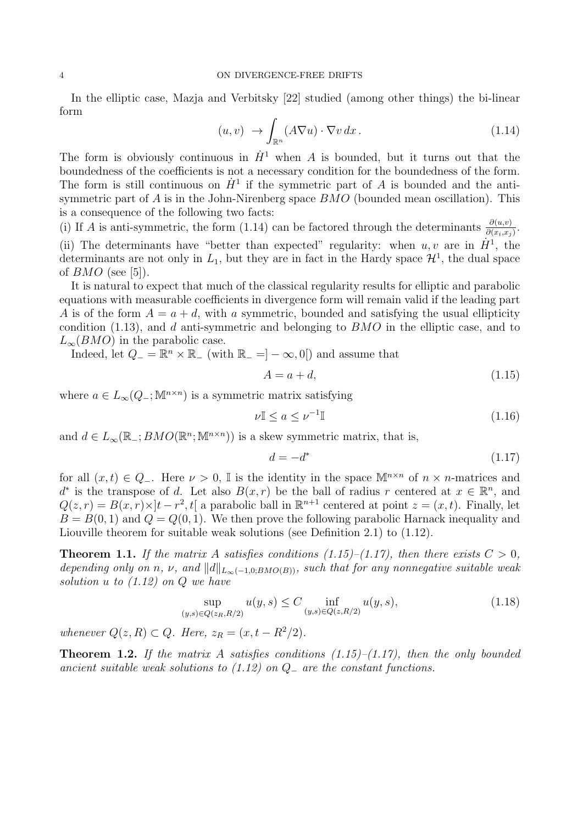In the elliptic case, Mazja and Verbitsky [22] studied (among other things) the bi-linear form

$$
(u, v) \rightarrow \int_{\mathbb{R}^n} (A \nabla u) \cdot \nabla v \, dx. \tag{1.14}
$$

The form is obviously continuous in  $\dot{H}$ <sup>1</sup> when *A* is bounded, but it turns out that the boundedness of the coefficients is not a necessary condition for the boundedness of the form. The form is still continuous on  $\dot{H}^1$  if the symmetric part of *A* is bounded and the antisymmetric part of *A* is in the John-Nirenberg space *BMO* (bounded mean oscillation). This is a consequence of the following two facts:

(i) If *A* is anti-symmetric, the form (1.14) can be factored through the determinants  $\frac{\partial(u,v)}{\partial(x_i,x_j)}$ . (ii) The determinants have "better than expected" regularity: when  $u, v$  are in  $\dot{H}^1$ , the determinants are not only in  $L_1$ , but they are in fact in the Hardy space  $\mathcal{H}^1$ , the dual space of *BMO* (see [5]).

It is natural to expect that much of the classical regularity results for elliptic and parabolic equations with measurable coefficients in divergence form will remain valid if the leading part *A* is of the form  $A = a + d$ , with *a* symmetric, bounded and satisfying the usual ellipticity condition (1.13), and *d* anti-symmetric and belonging to *BMO* in the elliptic case, and to  $L_{\infty}(BMO)$  in the parabolic case.

Indeed, let  $Q_$  =  $\mathbb{R}^n \times \mathbb{R}$ <sub>−</sub> (with  $\mathbb{R}_$ <sub>−</sub> =  $]-\infty, 0[$ ) and assume that

$$
A = a + d,\tag{1.15}
$$

where  $a \in L_{\infty}(Q_{-}; \mathbb{M}^{n \times n})$  is a symmetric matrix satisfying

$$
\nu \mathbb{I} \le a \le \nu^{-1} \mathbb{I} \tag{1.16}
$$

and  $d \in L_{\infty}(\mathbb{R}_-; BMO(\mathbb{R}^n; \mathbb{M}^{n \times n}))$  is a skew symmetric matrix, that is,

$$
d = -d^* \tag{1.17}
$$

for all  $(x, t) \in Q_$ <sup>−</sup>. Here  $\nu > 0$ , I is the identity in the space  $\mathbb{M}^{n \times n}$  of  $n \times n$ -matrices and *d*<sup>\*</sup> is the transpose of *d*. Let also  $B(x, r)$  be the ball of radius *r* centered at  $x \in \mathbb{R}^n$ , and  $Q(z, r) = B(x, r) \times ]t - r^2, t[$  a parabolic ball in  $\mathbb{R}^{n+1}$  centered at point  $z = (x, t)$ . Finally, let  $B = B(0, 1)$  and  $Q = Q(0, 1)$ . We then prove the following parabolic Harnack inequality and Liouville theorem for suitable weak solutions (see Definition 2.1) to (1.12).

**Theorem 1.1.** If the matrix A satisfies conditions (1.15)–(1.17), then there exists  $C > 0$ , *depending only on n*,  $\nu$ , and  $||d||_{L_{\infty}(-1,0;BMO(B))}$ , such that for any nonnegative suitable weak *solution u to (1.12) on Q we have*

$$
\sup_{(y,s)\in Q(z_R,R/2)} u(y,s) \le C \inf_{(y,s)\in Q(z,R/2)} u(y,s),\tag{1.18}
$$

*whenever*  $Q(z, R) \subset Q$ *. Here,*  $z_R = (x, t - R^2/2)$ *.* 

**Theorem 1.2.** *If the matrix A satisfies conditions (1.15)–(1.17), then the only bounded ancient suitable weak solutions to (1.12) on Q<sup>−</sup> are the constant functions.*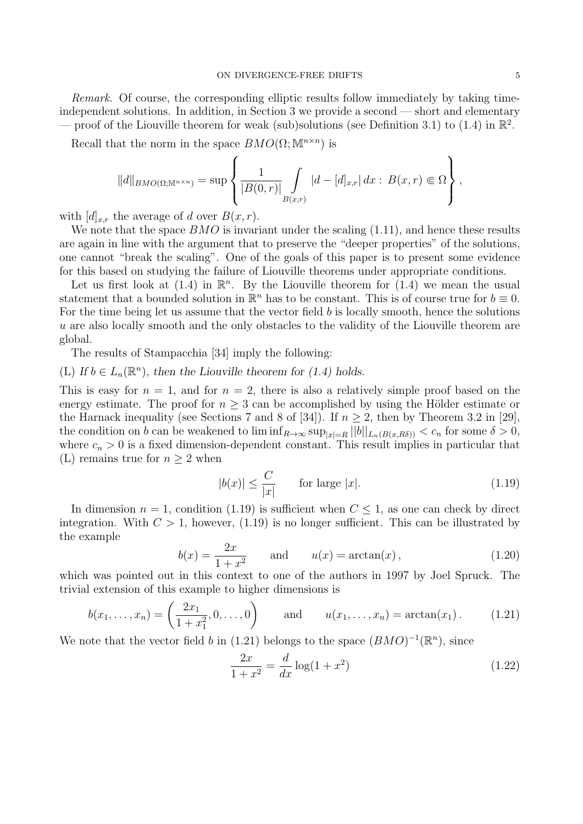*Remark.* Of course, the corresponding elliptic results follow immediately by taking timeindependent solutions. In addition, in Section 3 we provide a second — short and elementary — proof of the Liouville theorem for weak (sub)solutions (see Definition 3.1) to (1.4) in  $\mathbb{R}^2$ .

Recall that the norm in the space  $BMO(\Omega;\mathbb{M}^{n\times n})$  is

$$
||d||_{BMO(\Omega; \mathbb{M}^{n \times n})} = \sup \left\{ \frac{1}{|B(0,r)|} \int_{B(x,r)} |d - [d]_{x,r} | dx : B(x,r) \in \Omega \right\},\,
$$

with  $[d]_{x,r}$  the average of *d* over  $B(x,r)$ .

We note that the space *BMO* is invariant under the scaling (1.11), and hence these results are again in line with the argument that to preserve the "deeper properties" of the solutions, one cannot "break the scaling". One of the goals of this paper is to present some evidence for this based on studying the failure of Liouville theorems under appropriate conditions.

Let us first look at  $(1.4)$  in  $\mathbb{R}^n$ . By the Liouville theorem for  $(1.4)$  we mean the usual statement that a bounded solution in  $\mathbb{R}^n$  has to be constant. This is of course true for  $b \equiv 0$ . For the time being let us assume that the vector field *b* is locally smooth, hence the solutions *u* are also locally smooth and the only obstacles to the validity of the Liouville theorem are global.

The results of Stampacchia [34] imply the following:

(L) If  $b \in L_n(\mathbb{R}^n)$ , then the Liouville theorem for (1.4) holds.

This is easy for  $n = 1$ , and for  $n = 2$ , there is also a relatively simple proof based on the energy estimate. The proof for  $n \geq 3$  can be accomplished by using the Hölder estimate or the Harnack inequality (see Sections 7 and 8 of [34]). If  $n \geq 2$ , then by Theorem 3.2 in [29], the condition on *b* can be weakened to  $\liminf_{R\to\infty} \sup_{|x|=R} ||b||_{L_n(B(x,R\delta))} < c_n$  for some  $\delta > 0$ , where  $c_n > 0$  is a fixed dimension-dependent constant. This result implies in particular that (L) remains true for  $n \geq 2$  when

$$
|b(x)| \le \frac{C}{|x|} \qquad \text{for large } |x|.
$$
 (1.19)

In dimension  $n = 1$ , condition (1.19) is sufficient when  $C \leq 1$ , as one can check by direct integration. With  $C > 1$ , however,  $(1.19)$  is no longer sufficient. This can be illustrated by the example

$$
b(x) = \frac{2x}{1+x^2}
$$
 and  $u(x) = \arctan(x)$ , (1.20)

which was pointed out in this context to one of the authors in 1997 by Joel Spruck. The trivial extension of this example to higher dimensions is

$$
b(x_1, ..., x_n) = \left(\frac{2x_1}{1+x_1^2}, 0, ..., 0\right) \quad \text{and} \quad u(x_1, ..., x_n) = \arctan(x_1). \quad (1.21)
$$

We note that the vector field *b* in (1.21) belongs to the space  $(BMO)^{-1}(\mathbb{R}^n)$ , since

$$
\frac{2x}{1+x^2} = \frac{d}{dx}\log(1+x^2)
$$
 (1.22)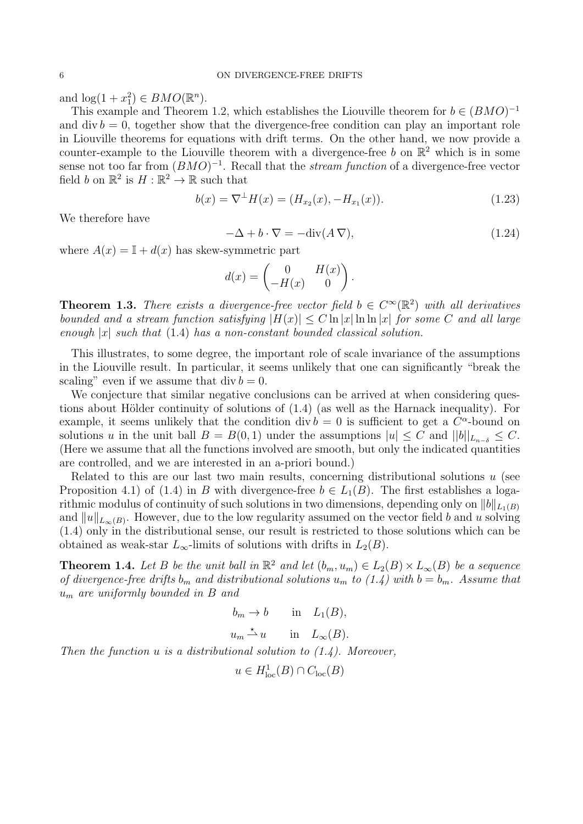and  $\log(1 + x_1^2) \in BMO(\mathbb{R}^n)$ .

This example and Theorem 1.2, which establishes the Liouville theorem for  $b \in (BMO)^{-1}$ and  $\mathrm{div} b = 0$ , together show that the divergence-free condition can play an important role in Liouville theorems for equations with drift terms. On the other hand, we now provide a counter-example to the Liouville theorem with a divergence-free  $b$  on  $\mathbb{R}^2$  which is in some sense not too far from  $(BMO)^{-1}$ . Recall that the *stream function* of a divergence-free vector field *b* on  $\mathbb{R}^2$  is  $H : \mathbb{R}^2 \to \mathbb{R}$  such that

$$
b(x) = \nabla^{\perp} H(x) = (H_{x_2}(x), -H_{x_1}(x)).
$$
\n(1.23)

We therefore have

$$
-\Delta + b \cdot \nabla = -\text{div}(A \, \nabla),\tag{1.24}
$$

where  $A(x) = I + d(x)$  has skew-symmetric part

$$
d(x) = \begin{pmatrix} 0 & H(x) \\ -H(x) & 0 \end{pmatrix}.
$$

**Theorem 1.3.** *There exists a divergence-free vector field*  $b \in C^{\infty}(\mathbb{R}^2)$  *with all derivatives bounded and a stream function satisfying*  $|H(x)| \leq C \ln |x| \ln \ln |x|$  *for some C and all large enough |x| such that* (1.4) *has a non-constant bounded classical solution.*

This illustrates, to some degree, the important role of scale invariance of the assumptions in the Liouville result. In particular, it seems unlikely that one can significantly "break the scaling" even if we assume that  $div b = 0$ .

We conjecture that similar negative conclusions can be arrived at when considering questions about Hölder continuity of solutions of  $(1.4)$  (as well as the Harnack inequality). For example, it seems unlikely that the condition div  $b = 0$  is sufficient to get a  $C^{\alpha}$ -bound on solutions *u* in the unit ball  $B = B(0, 1)$  under the assumptions  $|u| \leq C$  and  $||b||_{L_{n-\delta}} \leq C$ . (Here we assume that all the functions involved are smooth, but only the indicated quantities are controlled, and we are interested in an a-priori bound.)

Related to this are our last two main results, concerning distributional solutions *u* (see Proposition 4.1) of (1.4) in *B* with divergence-free  $b \in L_1(B)$ . The first establishes a logarithmic modulus of continuity of such solutions in two dimensions, depending only on  $||b||_{L_1(B)}$ and  $||u||_{L_{\infty}(B)}$ . However, due to the low regularity assumed on the vector field *b* and *u* solving (1.4) only in the distributional sense, our result is restricted to those solutions which can be obtained as weak-star  $L_{\infty}$ -limits of solutions with drifts in  $L_2(B)$ .

**Theorem 1.4.** Let B be the unit ball in  $\mathbb{R}^2$  and let  $(b_m, u_m) \in L_2(B) \times L_\infty(B)$  be a sequence *of divergence-free drifts*  $b_m$  *and distributional solutions*  $u_m$  *to* (1.4) with  $b = b_m$ . Assume that *u<sup>m</sup> are uniformly bounded in B and*

$$
b_m \to b \qquad \text{in} \quad L_1(B),
$$

 $u_m \stackrel{\star}{\rightharpoonup} u$  in  $L_\infty(B)$ .

*Then the function u is a distributional solution to (1.4). Moreover,*

$$
u \in H^1_{\text{loc}}(B) \cap C_{\text{loc}}(B)
$$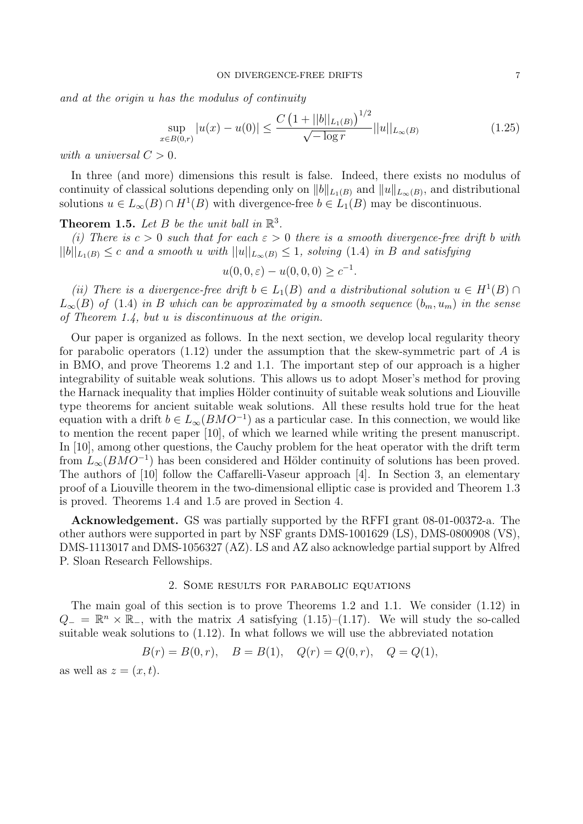*and at the origin u has the modulus of continuity*

$$
\sup_{x \in B(0,r)} |u(x) - u(0)| \le \frac{C\left(1 + ||b||_{L_1(B)}\right)^{1/2}}{\sqrt{-\log r}} ||u||_{L_\infty(B)}\tag{1.25}
$$

*with a universal*  $C > 0$ *.* 

In three (and more) dimensions this result is false. Indeed, there exists no modulus of continuity of classical solutions depending only on  $||b||_{L_1(B)}$  and  $||u||_{L_\infty(B)}$ , and distributional solutions  $u \in L_{\infty}(B) \cap H^1(B)$  with divergence-free  $b \in L_1(B)$  may be discontinuous.

**Theorem 1.5.** Let  $B$  be the unit ball in  $\mathbb{R}^3$ .

*(i)* There is  $c > 0$  such that for each  $\varepsilon > 0$  there is a smooth divergence-free drift b with  $||b||_{L_1(B)} \leq c$  and a smooth u with  $||u||_{L_{\infty}(B)} \leq 1$ , solving (1.4) in B and satisfying

$$
u(0,0,\varepsilon) - u(0,0,0) \ge c^{-1}.
$$

*(ii)* There is a divergence-free drift  $b \in L_1(B)$  and a distributional solution  $u \in H^1(B) \cap$  $L_{\infty}(B)$  *of* (1.4) *in B which can be approximated by a smooth sequence*  $(b_m, u_m)$  *in the sense of Theorem 1.4, but u is discontinuous at the origin.*

Our paper is organized as follows. In the next section, we develop local regularity theory for parabolic operators (1.12) under the assumption that the skew-symmetric part of *A* is in BMO, and prove Theorems 1.2 and 1.1. The important step of our approach is a higher integrability of suitable weak solutions. This allows us to adopt Moser's method for proving the Harnack inequality that implies Hölder continuity of suitable weak solutions and Liouville type theorems for ancient suitable weak solutions. All these results hold true for the heat equation with a drift  $b \in L_{\infty}(BMO^{-1})$  as a particular case. In this connection, we would like to mention the recent paper [10], of which we learned while writing the present manuscript. In [10], among other questions, the Cauchy problem for the heat operator with the drift term from  $L_\infty(BMO^{-1})$  has been considered and Hölder continuity of solutions has been proved. The authors of [10] follow the Caffarelli-Vaseur approach [4]. In Section 3, an elementary proof of a Liouville theorem in the two-dimensional elliptic case is provided and Theorem 1.3 is proved. Theorems 1.4 and 1.5 are proved in Section 4.

**Acknowledgement.** GS was partially supported by the RFFI grant 08-01-00372-a. The other authors were supported in part by NSF grants DMS-1001629 (LS), DMS-0800908 (VS), DMS-1113017 and DMS-1056327 (AZ). LS and AZ also acknowledge partial support by Alfred P. Sloan Research Fellowships.

# 2. Some results for parabolic equations

The main goal of this section is to prove Theorems 1.2 and 1.1. We consider (1.12) in  $Q_$  =  $\mathbb{R}^n$  ×  $\mathbb{R}_-$ , with the matrix *A* satisfying (1.15)–(1.17). We will study the so-called suitable weak solutions to (1.12). In what follows we will use the abbreviated notation

$$
B(r) = B(0, r), \quad B = B(1), \quad Q(r) = Q(0, r), \quad Q = Q(1),
$$

as well as  $z = (x, t)$ .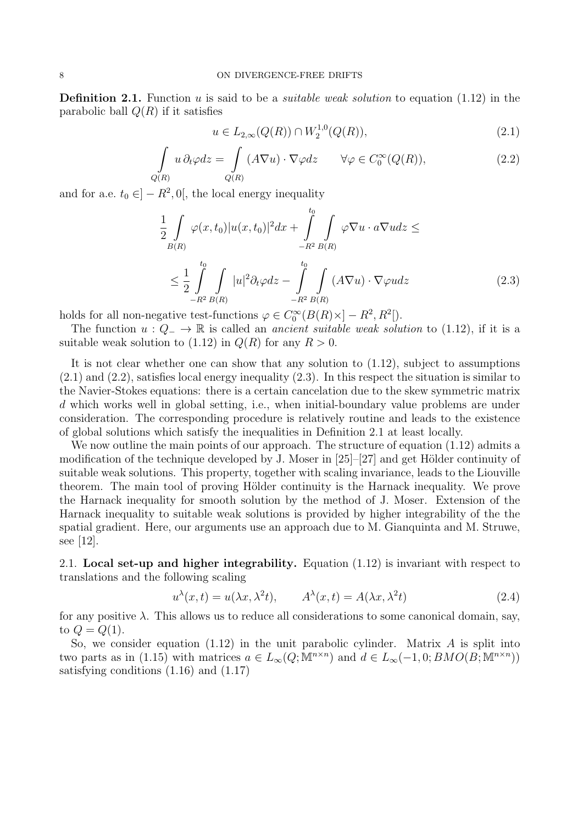**Definition 2.1.** Function *u* is said to be a *suitable weak solution* to equation (1.12) in the parabolic ball  $Q(R)$  if it satisfies

$$
u \in L_{2,\infty}(Q(R)) \cap W_2^{1,0}(Q(R)),\tag{2.1}
$$

$$
\int_{Q(R)} u \, \partial_t \varphi dz = \int_{Q(R)} (A \nabla u) \cdot \nabla \varphi dz \qquad \forall \varphi \in C_0^{\infty}(Q(R)),
$$
\n(2.2)

and for a.e.  $t_0 \in ]-R^2, 0[$ , the local energy inequality

$$
\frac{1}{2} \int_{B(R)} \varphi(x, t_0) |u(x, t_0)|^2 dx + \int_{-R^2}^{t_0} \int_{B(R)} \varphi \nabla u \cdot a \nabla u dz \le
$$
\n
$$
\leq \frac{1}{2} \int_{-R^2}^{t_0} \int_{B(R)} |u|^2 \partial_t \varphi dz - \int_{-R^2}^{t_0} \int_{B(R)} (A \nabla u) \cdot \nabla \varphi u dz \tag{2.3}
$$

holds for all non-negative test-functions  $\varphi \in C_0^{\infty}(B(R) \times ] - R^2, R^2[$ .

The function  $u: Q_-\to \mathbb{R}$  is called an *ancient suitable weak solution* to (1.12), if it is a suitable weak solution to  $(1.12)$  in  $Q(R)$  for any  $R > 0$ .

It is not clear whether one can show that any solution to (1.12), subject to assumptions  $(2.1)$  and  $(2.2)$ , satisfies local energy inequality  $(2.3)$ . In this respect the situation is similar to the Navier-Stokes equations: there is a certain cancelation due to the skew symmetric matrix *d* which works well in global setting, i.e., when initial-boundary value problems are under consideration. The corresponding procedure is relatively routine and leads to the existence of global solutions which satisfy the inequalities in Definition 2.1 at least locally.

We now outline the main points of our approach. The structure of equation  $(1.12)$  admits a modification of the technique developed by J. Moser in  $[25]-[27]$  and get Hölder continuity of suitable weak solutions. This property, together with scaling invariance, leads to the Liouville theorem. The main tool of proving Hölder continuity is the Harnack inequality. We prove the Harnack inequality for smooth solution by the method of J. Moser. Extension of the Harnack inequality to suitable weak solutions is provided by higher integrability of the the spatial gradient. Here, our arguments use an approach due to M. Gianquinta and M. Struwe, see [12].

2.1. **Local set-up and higher integrability.** Equation (1.12) is invariant with respect to translations and the following scaling

$$
u^{\lambda}(x,t) = u(\lambda x, \lambda^2 t), \qquad A^{\lambda}(x,t) = A(\lambda x, \lambda^2 t)
$$
\n(2.4)

for any positive  $\lambda$ . This allows us to reduce all considerations to some canonical domain, say, to  $Q = Q(1)$ .

So, we consider equation (1.12) in the unit parabolic cylinder. Matrix *A* is split into two parts as in (1.15) with matrices  $a \in L_{\infty}(Q; \mathbb{M}^{n \times n})$  and  $d \in L_{\infty}(-1, 0; BMO(B; \mathbb{M}^{n \times n}))$ satisfying conditions (1.16) and (1.17)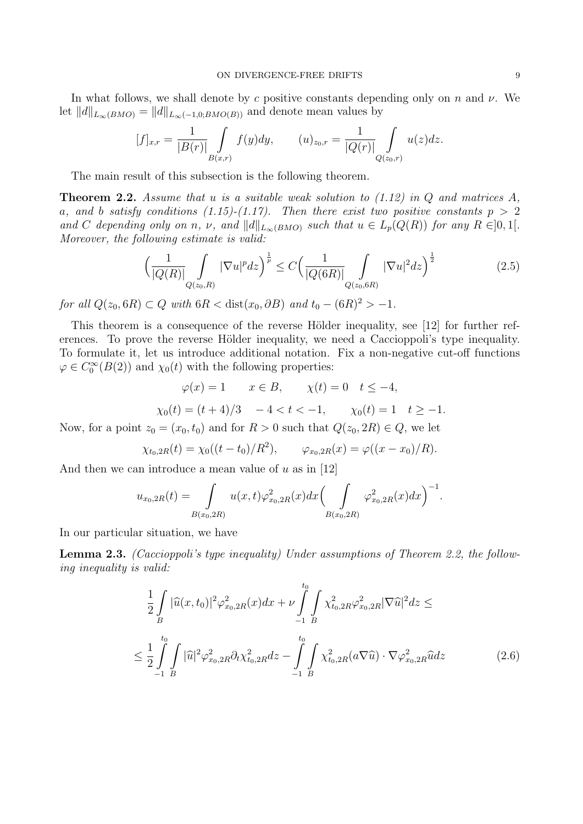In what follows, we shall denote by *c* positive constants depending only on *n* and *ν*. We let  $||d||_{L_{\infty}(BMO)} = ||d||_{L_{\infty}(-1,0;BMO(B))}$  and denote mean values by

$$
[f]_{x,r} = \frac{1}{|B(r)|} \int\limits_{B(x,r)} f(y) dy, \qquad (u)_{z_0,r} = \frac{1}{|Q(r)|} \int\limits_{Q(z_0,r)} u(z) dz.
$$

The main result of this subsection is the following theorem.

**Theorem 2.2.** *Assume that u is a suitable weak solution to (1.12) in Q and matrices A, a*, and *b satisfy conditions* (1.15)-(1.17). Then there exist two positive constants  $p > 2$ and C depending only on n, v, and  $||d||_{L_{\infty}(BMO)}$  such that  $u \in L_p(Q(R))$  for any  $R \in ]0,1[$ . *Moreover, the following estimate is valid:*

$$
\left(\frac{1}{|Q(R)|}\int_{Q(z_0,R)}|\nabla u|^p dz\right)^{\frac{1}{p}} \le C\left(\frac{1}{|Q(6R)|}\int_{Q(z_0,6R)}|\nabla u|^2 dz\right)^{\frac{1}{2}}\tag{2.5}
$$

*for all*  $Q(z_0, 6R) \subset Q$  *with*  $6R < \text{dist}(x_0, \partial B)$  *and*  $t_0 - (6R)^2 > -1$ *.* 

This theorem is a consequence of the reverse Hölder inequality, see [12] for further references. To prove the reverse Hölder inequality, we need a Caccioppoli's type inequality. To formulate it, let us introduce additional notation. Fix a non-negative cut-off functions  $\varphi \in C_0^{\infty}(B(2))$  and  $\chi_0(t)$  with the following properties:

$$
\varphi(x) = 1 \qquad x \in B, \qquad \chi(t) = 0 \quad t \le -4,
$$

$$
\chi_0(t) = (t+4)/3
$$
  $-4 < t < -1$ ,  $\chi_0(t) = 1$   $t \ge -1$ .

Now, for a point  $z_0 = (x_0, t_0)$  and for  $R > 0$  such that  $Q(z_0, 2R) \in Q$ , we let

$$
\chi_{t_0,2R}(t) = \chi_0((t-t_0)/R^2), \qquad \varphi_{x_0,2R}(x) = \varphi((x-x_0)/R).
$$

And then we can introduce a mean value of *u* as in [12]

$$
u_{x_0,2R}(t) = \int_{B(x_0,2R)} u(x,t)\varphi_{x_0,2R}^2(x)dx \left(\int_{B(x_0,2R)} \varphi_{x_0,2R}^2(x)dx\right)^{-1}
$$

In our particular situation, we have

**Lemma 2.3.** *(Caccioppoli's type inequality) Under assumptions of Theorem 2.2, the following inequality is valid:*

$$
\frac{1}{2} \int_{B} |\widehat{u}(x, t_0)|^2 \varphi_{x_0, 2R}^2(x) dx + \nu \int_{-1}^{t_0} \int_{B} \chi_{t_0, 2R}^2 \varphi_{x_0, 2R}^2 |\nabla \widehat{u}|^2 dz \le
$$
\n
$$
\leq \frac{1}{2} \int_{-1}^{t_0} \int_{B} |\widehat{u}|^2 \varphi_{x_0, 2R}^2 \partial_t \chi_{t_0, 2R}^2 dz - \int_{-1}^{t_0} \int_{B} \chi_{t_0, 2R}^2 (a \nabla \widehat{u}) \cdot \nabla \varphi_{x_0, 2R}^2 \widehat{u} dz \tag{2.6}
$$

*.*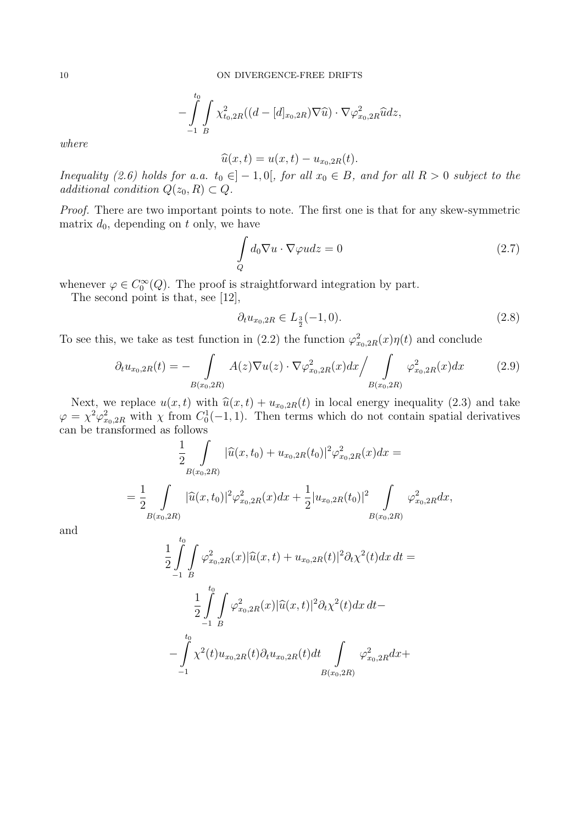$$
-\int_{-1}^{t_0}\int_{B} \chi^2_{t_0,2R}((d-[d]_{x_0,2R})\nabla\widehat{u})\cdot\nabla\varphi^2_{x_0,2R}\widehat{u}dz,
$$

*where*

$$
\widehat{u}(x,t) = u(x,t) - u_{x_0,2R}(t).
$$

*Inequality* (2.6) holds for a.a.  $t_0 \in ]-1,0[$ , for all  $x_0 \in B$ , and for all  $R > 0$  subject to the *additional condition*  $Q(z_0, R) \subset Q$ *.* 

*Proof.* There are two important points to note. The first one is that for any skew-symmetric matrix  $d_0$ , depending on  $t$  only, we have

$$
\int_{Q} d_{0} \nabla u \cdot \nabla \varphi u dz = 0
$$
\n(2.7)

whenever  $\varphi \in C_0^{\infty}(Q)$ . The proof is straightforward integration by part.

The second point is that, see [12],

$$
\partial_t u_{x_0,2R} \in L_{\frac{3}{2}}(-1,0). \tag{2.8}
$$

To see this, we take as test function in (2.2) the function  $\varphi_{x_0,2R}^2(x)\eta(t)$  and conclude

$$
\partial_t u_{x_0,2R}(t) = - \int_{B(x_0,2R)} A(z) \nabla u(z) \cdot \nabla \varphi_{x_0,2R}^2(x) dx \bigg/ \int_{B(x_0,2R)} \varphi_{x_0,2R}^2(x) dx \tag{2.9}
$$

Next, we replace  $u(x,t)$  with  $\hat{u}(x,t) + u_{x_0,2R}(t)$  in local energy inequality (2.3) and take  $\varphi = \chi^2 \varphi_{x_0,2R}^2$  with  $\chi$  from  $C_0^1(-1,1)$ . Then terms which do not contain spatial derivatives can be transformed as follows

$$
\frac{1}{2} \int_{B(x_0, 2R)} |\widehat{u}(x, t_0) + u_{x_0, 2R}(t_0)|^2 \varphi_{x_0, 2R}^2(x) dx =
$$
\n
$$
= \frac{1}{2} \int_{B(x_0, 2R)} |\widehat{u}(x, t_0)|^2 \varphi_{x_0, 2R}^2(x) dx + \frac{1}{2} |u_{x_0, 2R}(t_0)|^2 \int_{B(x_0, 2R)} \varphi_{x_0, 2R}^2 dx,
$$

and

$$
\frac{1}{2} \int_{-1}^{t_0} \int \varphi_{x_0,2R}^2(x) |\widehat{u}(x,t) + u_{x_0,2R}(t)|^2 \partial_t \chi^2(t) dx dt =
$$
\n
$$
\frac{1}{2} \int_{-1}^{t_0} \int \varphi_{x_0,2R}^2(x) |\widehat{u}(x,t)|^2 \partial_t \chi^2(t) dx dt -
$$
\n
$$
-\int_{-1}^{t_0} \chi^2(t) u_{x_0,2R}(t) \partial_t u_{x_0,2R}(t) dt \int_{B(x_0,2R)} \varphi_{x_0,2R}^2 dx +
$$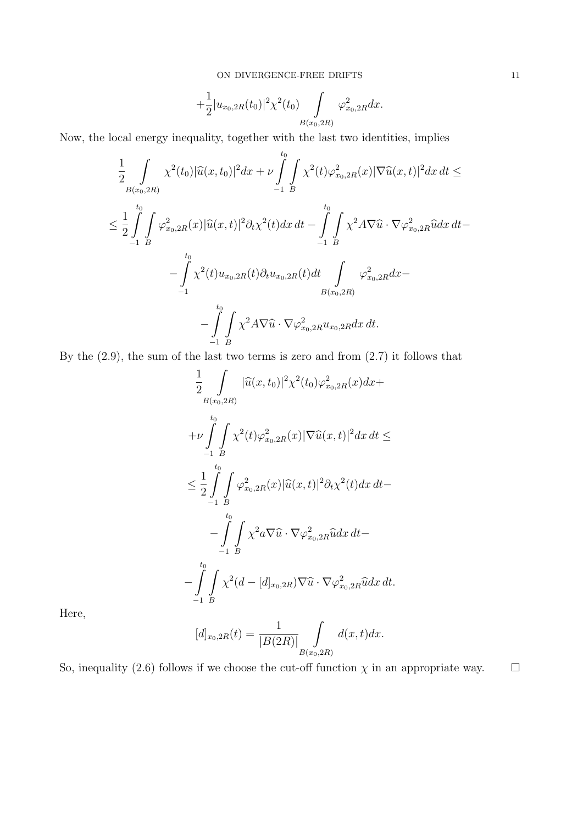$$
+\frac{1}{2}|u_{x_0,2R}(t_0)|^2\chi^2(t_0)\int\limits_{B(x_0,2R)}\varphi^2_{x_0,2R}dx.
$$

Now, the local energy inequality, together with the last two identities, implies

$$
\frac{1}{2} \int_{B(x_0, 2R)} \chi^2(t_0) |\widehat{u}(x, t_0)|^2 dx + \nu \int_{-1}^{t_0} \int_{B} \chi^2(t) \varphi_{x_0, 2R}^2(x) |\nabla \widehat{u}(x, t)|^2 dx dt \le
$$
\n
$$
\leq \frac{1}{2} \int_{-1}^{t_0} \int_{B} \varphi_{x_0, 2R}^2(x) |\widehat{u}(x, t)|^2 \partial_t \chi^2(t) dx dt - \int_{-1}^{t_0} \int_{B} \chi^2 A \nabla \widehat{u} \cdot \nabla \varphi_{x_0, 2R}^2 \widehat{u} dx dt -
$$
\n
$$
- \int_{-1}^{t_0} \chi^2(t) u_{x_0, 2R}(t) \partial_t u_{x_0, 2R}(t) dt \int_{B(x_0, 2R)} \varphi_{x_0, 2R}^2 dx -
$$
\n
$$
- \int_{-1}^{t_0} \int_{B} \chi^2 A \nabla \widehat{u} \cdot \nabla \varphi_{x_0, 2R}^2 u_{x_0, 2R} dx dt.
$$

By the (2.9), the sum of the last two terms is zero and from (2.7) it follows that

$$
\frac{1}{2} \int_{B(x_0, 2R)} |\widehat{u}(x, t_0)|^2 \chi^2(t_0) \varphi_{x_0, 2R}^2(x) dx +
$$
\n
$$
+ \nu \int_{-1}^{t_0} \int_{B} \chi^2(t) \varphi_{x_0, 2R}^2(x) |\nabla \widehat{u}(x, t)|^2 dx dt \le
$$
\n
$$
\leq \frac{1}{2} \int_{-1}^{t_0} \int_{B} \varphi_{x_0, 2R}^2(x) |\widehat{u}(x, t)|^2 \partial_t \chi^2(t) dx dt -
$$
\n
$$
- \int_{-1}^{t_0} \int_{B} \chi^2 a \nabla \widehat{u} \cdot \nabla \varphi_{x_0, 2R}^2 \widehat{u} dx dt -
$$
\n
$$
- \int_{-1}^{t_0} \int_{B} \chi^2(d - [d]_{x_0, 2R}) \nabla \widehat{u} \cdot \nabla \varphi_{x_0, 2R}^2 \widehat{u} dx dt.
$$

Here,

$$
[d]_{x_0,2R}(t) = \frac{1}{|B(2R)|} \int_{B(x_0,2R)} d(x,t)dx.
$$

So, inequality (2.6) follows if we choose the cut-off function  $\chi$  in an appropriate way.  $\Box$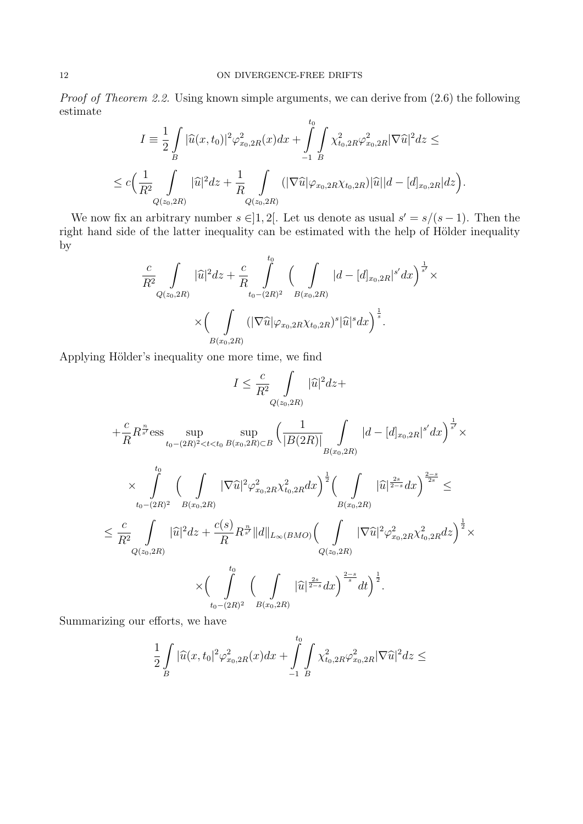*Proof of Theorem 2.2.* Using known simple arguments, we can derive from  $(2.6)$  the following estimate  $t_0$ 

$$
I = \frac{1}{2} \int_{B} |\widehat{u}(x, t_0)|^2 \varphi_{x_0, 2R}^2(x) dx + \int_{-1}^{t_0} \int_{B} \chi_{t_0, 2R}^2 \varphi_{x_0, 2R}^2 |\nabla \widehat{u}|^2 dz \le
$$
  

$$
\leq c \Big( \frac{1}{R^2} \int_{Q(z_0, 2R)} |\widehat{u}|^2 dz + \frac{1}{R} \int_{Q(z_0, 2R)} (|\nabla \widehat{u}| \varphi_{x_0, 2R} \chi_{t_0, 2R}) |\widehat{u}| |d - [d]_{x_0, 2R} |dz \Big).
$$

We now fix an arbitrary number  $s \in ]1,2[$ . Let us denote as usual  $s' = s/(s-1)$ . Then the right hand side of the latter inequality can be estimated with the help of Hölder inequality by

$$
\frac{c}{R^2} \int\limits_{Q(z_0, 2R)} |\widehat{u}|^2 dz + \frac{c}{R} \int\limits_{t_0 - (2R)^2}^{t_0} \left( \int\limits_{B(x_0, 2R)} |d - [d]_{x_0, 2R}|^{s'} dx \right)^{\frac{1}{s'}} \times \\ \times \left( \int\limits_{B(x_0, 2R)} (|\nabla \widehat{u}| \varphi_{x_0, 2R} \chi_{t_0, 2R})^s |\widehat{u}|^s dx \right)^{\frac{1}{s}}.
$$

Applying Hölder's inequality one more time, we find

$$
I \leq \frac{c}{R^2} \int_{Q(z_0, 2R)} |\hat{u}|^2 dz +
$$
  
\n
$$
+ \frac{c}{R} R^{\frac{n}{s'}} \text{ess} \sup_{t_0 - (2R)^2 < t < t_0} \sup_{B(x_0, 2R) \subset B} \left( \frac{1}{|B(2R)|} \int_{B(x_0, 2R)} |d - [d]_{x_0, 2R}|^{s'} dx \right)^{\frac{1}{s'}} \times
$$
  
\n
$$
\times \int_{t_0 - (2R)^2}^{t_0} \left( \int_{B(x_0, 2R)} |\nabla \hat{u}|^2 \varphi_{x_0, 2R}^2 \chi_{t_0, 2R}^2 dx \right)^{\frac{1}{2}} \left( \int_{B(x_0, 2R)} |\hat{u}|^{\frac{2s}{2-s}} dx \right)^{\frac{2-s}{2s}} \leq
$$
  
\n
$$
\leq \frac{c}{R^2} \int_{Q(z_0, 2R)} |\hat{u}|^2 dz + \frac{c(s)}{R} R^{\frac{n}{s'}} \|d\|_{L_\infty(BMO)} \left( \int_{Q(z_0, 2R)} |\nabla \hat{u}|^2 \varphi_{x_0, 2R}^2 \chi_{t_0, 2R}^2 dx \right)^{\frac{1}{2}} \times
$$
  
\n
$$
\times \left( \int_{t_0 - (2R)^2}^{t_0} \left( \int_{B(x_0, 2R)} |\hat{u}|^{\frac{2s}{2-s}} dx \right)^{\frac{2-s}{s}} dt \right)^{\frac{1}{2}}.
$$

Summarizing our efforts, we have

$$
\frac{1}{2}\int\limits_{B}|\widehat{u}(x,t_0|^2\varphi^2_{x_0,2R}(x)dx+\int\limits_{-1}^{t_0}\int\limits_{B}\chi^2_{t_0,2R}\varphi^2_{x_0,2R}|\nabla \widehat{u}|^2dz\leq
$$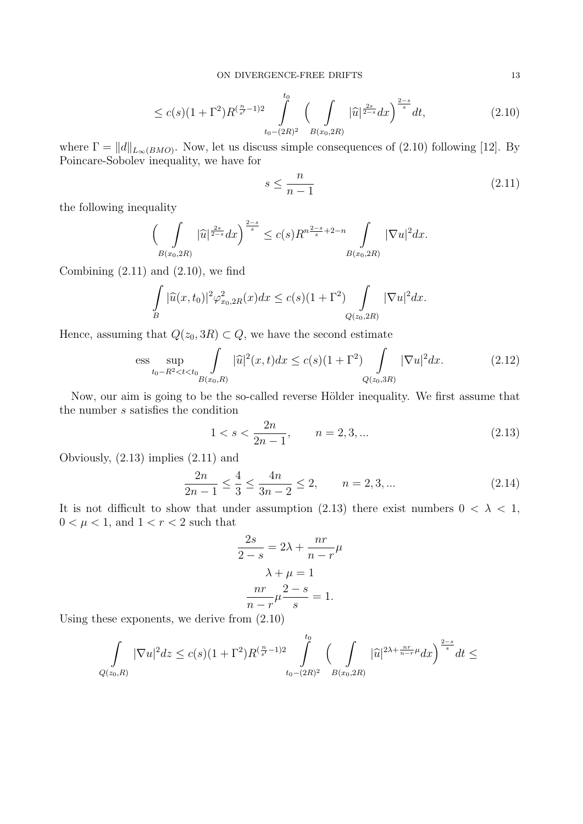$$
\leq c(s)(1+\Gamma^2)R^{(\frac{n}{s'}-1)2} \int\limits_{t_0-(2R)^2}^{t_0} \left( \int\limits_{B(x_0,2R)} |\widehat{u}|^{\frac{2s}{2-s}} dx \right)^{\frac{2-s}{s}} dt, \tag{2.10}
$$

where  $\Gamma = ||d||_{L_{\infty}(BMO)}$ . Now, let us discuss simple consequences of (2.10) following [12]. By Poincare-Sobolev inequality, we have for

$$
s \le \frac{n}{n-1} \tag{2.11}
$$

the following inequality

$$
\left(\int\limits_{B(x_0, 2R)} |\widehat{u}|^{\frac{2s}{2-s}} dx\right)^{\frac{2-s}{s}} \le c(s)R^{n\frac{2-s}{s}+2-n} \int\limits_{B(x_0, 2R)} |\nabla u|^2 dx.
$$

Combining  $(2.11)$  and  $(2.10)$ , we find

$$
\int_{B} |\widehat{u}(x,t_0)|^2 \varphi_{x_0,2R}^2(x) dx \le c(s)(1+\Gamma^2) \int_{Q(z_0,2R)} |\nabla u|^2 dx.
$$

Hence, assuming that  $Q(z_0, 3R) \subset Q$ , we have the second estimate

$$
\text{ess} \sup_{t_0 - R^2 < t < t_0} \int_{B(x_0, R)} |\widehat{u}|^2(x, t) dx \le c(s)(1 + \Gamma^2) \int_{Q(z_0, 3R)} |\nabla u|^2 dx. \tag{2.12}
$$

Now, our aim is going to be the so-called reverse Hölder inequality. We first assume that the number *s* satisfies the condition

$$
1 < s < \frac{2n}{2n - 1}, \qquad n = 2, 3, \dots \tag{2.13}
$$

Obviously, (2.13) implies (2.11) and

$$
\frac{2n}{2n-1} \le \frac{4}{3} \le \frac{4n}{3n-2} \le 2, \qquad n = 2, 3, \dots \tag{2.14}
$$

It is not difficult to show that under assumption (2.13) there exist numbers  $0 < \lambda < 1$ ,  $0 < \mu < 1$ , and  $1 < r < 2$  such that

$$
\frac{2s}{2-s} = 2\lambda + \frac{nr}{n-r}\mu
$$

$$
\lambda + \mu = 1
$$

$$
\frac{nr}{n-r}\mu \frac{2-s}{s} = 1.
$$

Using these exponents, we derive from (2.10)

$$
\int_{Q(z_0,R)} |\nabla u|^2 dz \leq c(s)(1+\Gamma^2)R^{(\frac{n}{s'}-1)2}\int_{t_0-(2R)^2}^{t_0}\left(\int_{B(x_0,2R)} |\widehat{u}|^{2\lambda+\frac{nr}{n-r}\mu}dx\right)^{\frac{2-s}{s}}dt \leq
$$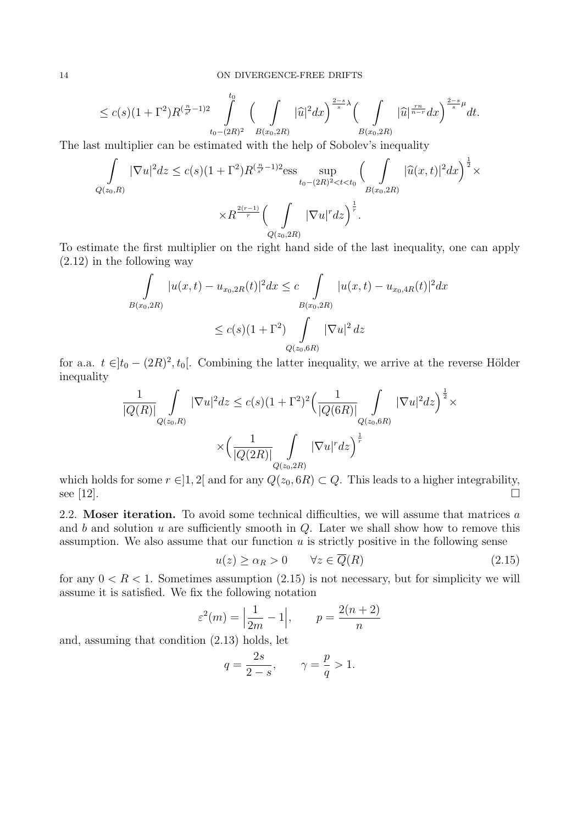$$
\leq c(s)(1+\Gamma^2)R^{(\frac{n}{s'}-1)2}\int\limits_{t_0-(2R)^2}^{t_0}\Big(\int\limits_{B(x_0,2R)}|\widehat{u}|^2dx\Big)^{\frac{2-s}{s}}\Big(\int\limits_{B(x_0,2R)}|\widehat{u}|^{\frac{rn}{n-r}}dx\Big)^{\frac{2-s}{s}\mu}dt.
$$

The last multiplier can be estimated with the help of Sobolev's inequality

$$
\int_{Q(z_0,R)} |\nabla u|^2 dz \le c(s)(1+\Gamma^2)R^{(\frac{n}{s'}-1)2} \text{ess} \sup_{t_0 - (2R)^2 < t < t_0} \left(\int_{B(x_0, 2R)} |\widehat{u}(x,t)|^2 dx\right)^{\frac{1}{2}} \times R^{\frac{2(r-1)}{r}} \left(\int_{Q(z_0, 2R)} |\nabla u|^r dz\right)^{\frac{1}{r}}.
$$

To estimate the first multiplier on the right hand side of the last inequality, one can apply (2.12) in the following way

$$
\int_{B(x_0, 2R)} |u(x, t) - u_{x_0, 2R}(t)|^2 dx \leq c \int_{B(x_0, 2R)} |u(x, t) - u_{x_0, 4R}(t)|^2 dx
$$
  

$$
\leq c(s)(1 + \Gamma^2) \int_{Q(z_0, 6R)} |\nabla u|^2 dz
$$

for a.a.  $t \in ]t_0 - (2R)^2, t_0[$ . Combining the latter inequality, we arrive at the reverse Hölder inequality

$$
\frac{1}{|Q(R)|} \int_{Q(z_0,R)} |\nabla u|^2 dz \le c(s)(1+\Gamma^2)^2 \Big(\frac{1}{|Q(6R)|} \int_{Q(z_0,6R)} |\nabla u|^2 dz\Big)^{\frac{1}{2}} \times \\ \times \Big(\frac{1}{|Q(2R)|} \int_{Q(z_0,2R)} |\nabla u|^r dz\Big)^{\frac{1}{r}}
$$

which holds for some  $r \in ]1,2[$  and for any  $Q(z_0, 6R) \subset Q$ . This leads to a higher integrability, see  $[12]$ .

2.2. **Moser iteration.** To avoid some technical difficulties, we will assume that matrices *a* and *b* and solution *u* are sufficiently smooth in *Q*. Later we shall show how to remove this assumption. We also assume that our function *u* is strictly positive in the following sense

$$
u(z) \ge \alpha_R > 0 \qquad \forall z \in \overline{Q}(R) \tag{2.15}
$$

for any  $0 < R < 1$ . Sometimes assumption  $(2.15)$  is not necessary, but for simplicity we will assume it is satisfied. We fix the following notation

$$
\varepsilon^2(m) = \left|\frac{1}{2m} - 1\right|, \qquad p = \frac{2(n+2)}{n}
$$

and, assuming that condition (2.13) holds, let

$$
q=\frac{2s}{2-s},\qquad \gamma=\frac{p}{q}>1.
$$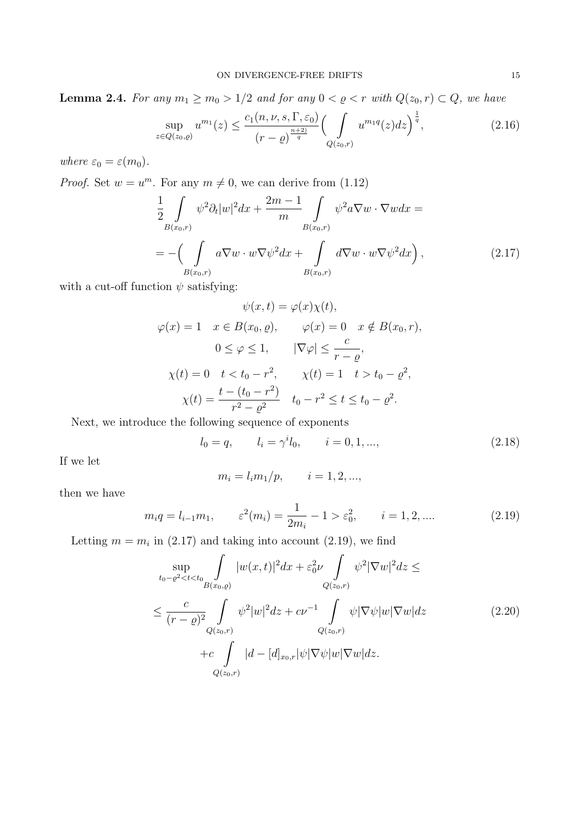**Lemma 2.4.** *For any*  $m_1 \geq m_0 > 1/2$  *and for any*  $0 < \varrho < r$  *with*  $Q(z_0, r) \subset Q$ *, we have* 

$$
\sup_{z \in Q(z_0, \varrho)} u^{m_1}(z) \le \frac{c_1(n, \nu, s, \Gamma, \varepsilon_0)}{(r - \varrho)^{\frac{n+2}{q}}} \Big( \int_{Q(z_0, r)} u^{m_1 q}(z) dz \Big)^{\frac{1}{q}},\tag{2.16}
$$

*where*  $\varepsilon_0 = \varepsilon(m_0)$ *.* 

*Proof.* Set  $w = u^m$ . For any  $m \neq 0$ , we can derive from (1.12)

$$
\frac{1}{2} \int\limits_{B(x_0,r)} \psi^2 \partial_t |w|^2 dx + \frac{2m-1}{m} \int\limits_{B(x_0,r)} \psi^2 a \nabla w \cdot \nabla w dx =
$$
\n
$$
= -\left(\int\limits_{B(x_0,r)} a \nabla w \cdot w \nabla \psi^2 dx + \int\limits_{B(x_0,r)} d \nabla w \cdot w \nabla \psi^2 dx\right),
$$
\n(2.17)

with a cut-off function  $\psi$  satisfying:

$$
\psi(x,t) = \varphi(x)\chi(t),
$$
  
\n
$$
\varphi(x) = 1 \quad x \in B(x_0, \varrho), \qquad \varphi(x) = 0 \quad x \notin B(x_0, r),
$$
  
\n
$$
0 \le \varphi \le 1, \qquad |\nabla \varphi| \le \frac{c}{r - \varrho},
$$
  
\n
$$
\chi(t) = 0 \quad t < t_0 - r^2, \qquad \chi(t) = 1 \quad t > t_0 - \varrho^2,
$$
  
\n
$$
\chi(t) = \frac{t - (t_0 - r^2)}{r^2 - \varrho^2} \quad t_0 - r^2 \le t \le t_0 - \varrho^2.
$$

Next, we introduce the following sequence of exponents

$$
l_0 = q, \qquad l_i = \gamma^i l_0, \qquad i = 0, 1, ..., \qquad (2.18)
$$

If we let

$$
m_i = l_i m_1/p,
$$
  $i = 1, 2, ...,$ 

then we have

$$
m_i q = l_{i-1} m_1, \qquad \varepsilon^2(m_i) = \frac{1}{2m_i} - 1 > \varepsilon_0^2, \qquad i = 1, 2, \dots
$$
 (2.19)

Letting  $m = m_i$  in (2.17) and taking into account (2.19), we find

$$
\sup_{t_0 - \varrho^2 < t < t_0} \int_{B(x_0, \varrho)} |w(x, t)|^2 dx + \varepsilon_0^2 \nu \int_{Q(z_0, r)} \psi^2 |\nabla w|^2 dz \le
$$
\n
$$
\le \frac{c}{(r - \varrho)^2} \int_{Q(z_0, r)} \psi^2 |w|^2 dz + c\nu^{-1} \int_{Q(z_0, r)} \psi |\nabla \psi| w |\nabla w| dz \qquad (2.20)
$$
\n
$$
+ c \int_{Q(z_0, r)} |d - [d]_{x_0, r} |\psi| \nabla \psi| w |\nabla w| dz.
$$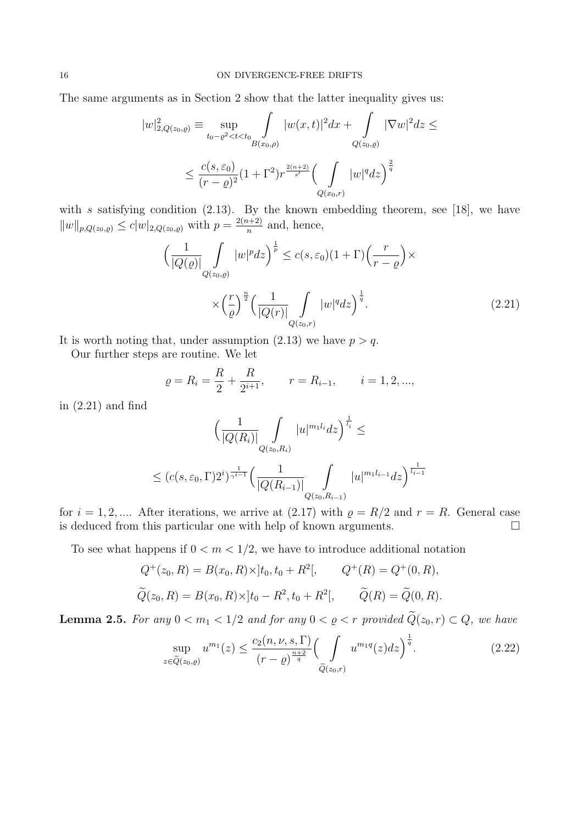The same arguments as in Section 2 show that the latter inequality gives us:

$$
|w|_{2,Q(z_0,\varrho)}^2 \equiv \sup_{t_0 - \varrho^2 < t < t_0} \int_{B(x_0,\varrho)} |w(x,t)|^2 dx + \int_{Q(z_0,\varrho)} |\nabla w|^2 dz \le
$$
  

$$
\le \frac{c(s,\varepsilon_0)}{(r-\varrho)^2} (1+\Gamma^2) r^{\frac{2(n+2)}{s'}} \Big(\int_{Q(x_0,r)} |w|^q dz\Big)^{\frac{2}{q}}
$$

with *s* satisfying condition (2.13). By the known embedding theorem, see [18], we have *∣*<sup>*w*</sup> $|w|_{p,Q(z_0, \varrho)} \leq c|w|_{2,Q(z_0, \varrho)}$  with  $p = \frac{2(n+2)}{n}$  $\frac{n+2j}{n}$  and, hence,

$$
\left(\frac{1}{|Q(\varrho)|}\int_{Q(z_0,\varrho)}|w|^p dz\right)^{\frac{1}{p}} \le c(s,\varepsilon_0)(1+\Gamma)\left(\frac{r}{r-\varrho}\right) \times \times \left(\frac{r}{\varrho}\right)^{\frac{n}{2}} \left(\frac{1}{|Q(r)|}\int_{Q(z_0,r)}|w|^q dz\right)^{\frac{1}{q}}.
$$
\n(2.21)

It is worth noting that, under assumption  $(2.13)$  we have  $p > q$ .

Our further steps are routine. We let

$$
\varrho = R_i = \frac{R}{2} + \frac{R}{2^{i+1}}, \qquad r = R_{i-1}, \qquad i = 1, 2, ...,
$$

in (2.21) and find

$$
\left(\frac{1}{|Q(R_i)|}\int_{Q(z_0,R_i)}|u|^{m_1l_i}dz\right)^{\frac{1}{l_i}} \le
$$
\n
$$
\le (c(s,\varepsilon_0,\Gamma)2^i)^{\frac{1}{\gamma^{i-1}}} \left(\frac{1}{|Q(R_{i-1})|}\int_{Q(z_0,R_{i-1})}|u|^{m_1l_{i-1}}dz\right)^{\frac{1}{l_{i-1}}}
$$

for  $i = 1, 2, \dots$ . After iterations, we arrive at (2.17) with  $\rho = R/2$  and  $r = R$ . General case is deduced from this particular one with help of known arguments.  $\square$ 

To see what happens if  $0 < m < 1/2$ , we have to introduce additional notation

$$
Q^+(z_0, R) = B(x_0, R) \times ]t_0, t_0 + R^2[, \qquad Q^+(R) = Q^+(0, R),
$$
  

$$
\widetilde{Q}(z_0, R) = B(x_0, R) \times ]t_0 - R^2, t_0 + R^2[, \qquad \widetilde{Q}(R) = \widetilde{Q}(0, R).
$$

**Lemma 2.5.** *For any*  $0 < m_1 < 1/2$  *and for any*  $0 < \varrho < r$  *provided*  $\widetilde{Q}(z_0, r) \subset Q$ *, we have* 

$$
\sup_{z \in \tilde{Q}(z_0, \varrho)} u^{m_1}(z) \le \frac{c_2(n, \nu, s, \Gamma)}{(r - \varrho)^{\frac{n+2}{q}}} \Big( \int\limits_{\tilde{Q}(z_0, r)} u^{m_1 q}(z) dz \Big)^{\frac{1}{q}}.
$$
\n(2.22)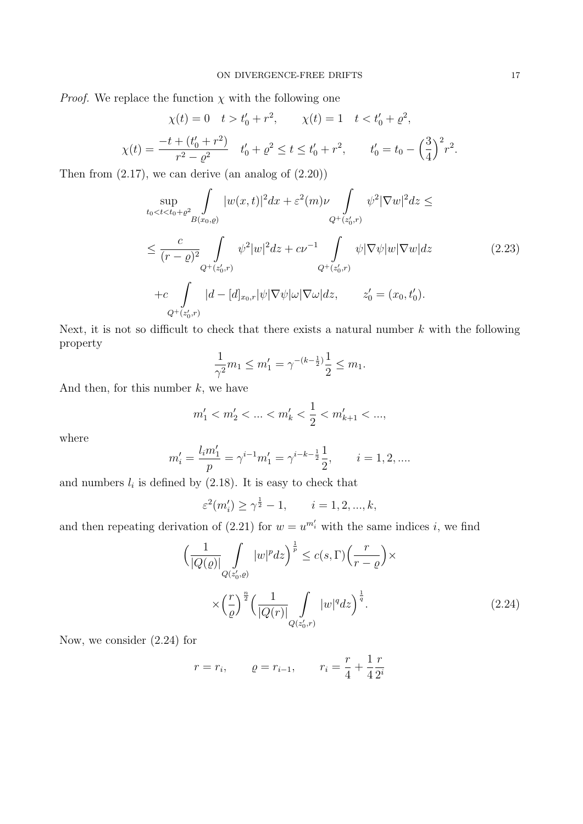*Proof.* We replace the function  $\chi$  with the following one

$$
\chi(t) = 0 \quad t > t'_0 + r^2, \qquad \chi(t) = 1 \quad t < t'_0 + \rho^2,
$$
  

$$
\chi(t) = \frac{-t + (t'_0 + r^2)}{r^2 - \rho^2} \quad t'_0 + \rho^2 \le t \le t'_0 + r^2, \qquad t'_0 = t_0 - \left(\frac{3}{4}\right)^2 r^2.
$$

Then from  $(2.17)$ , we can derive (an analog of  $(2.20)$ )

$$
\sup_{t_0 < t < t_0 + \varrho^2} \int_{B(x_0, \varrho)} |w(x, t)|^2 dx + \varepsilon^2(m)\nu \int_{Q^+(z'_0, r)} \psi^2 |\nabla w|^2 dz \le
$$
\n
$$
\leq \frac{c}{(r - \varrho)^2} \int_{Q^+(z'_0, r)} \psi^2 |w|^2 dz + c\nu^{-1} \int_{Q^+(z'_0, r)} \psi |\nabla \psi| w |\nabla w| dz \qquad (2.23)
$$
\n
$$
+ c \int_{Q^+(z'_0, r)} |d - [d]_{x_0, r} |\psi| \nabla \psi| \omega |\nabla \omega| dz, \qquad z'_0 = (x_0, t'_0).
$$

Next, it is not so difficult to check that there exists a natural number *k* with the following property

$$
\frac{1}{\gamma^2}m_1 \leq m_1' = \gamma^{-(k-\frac{1}{2})}\frac{1}{2} \leq m_1.
$$

And then, for this number *k*, we have

$$
m'_1 < m'_2 < \ldots < m'_k < \frac{1}{2} < m'_{k+1} < \ldots,
$$

where

$$
m'_{i} = \frac{l_{i}m'_{1}}{p} = \gamma^{i-1}m'_{1} = \gamma^{i-k-\frac{1}{2}}\frac{1}{2}, \qquad i = 1, 2, \dots
$$

and numbers  $l_i$  is defined by  $(2.18)$ . It is easy to check that

$$
\varepsilon^2(m'_i) \ge \gamma^{\frac{1}{2}} - 1, \qquad i = 1, 2, ..., k,
$$

and then repeating derivation of (2.21) for  $w = u^{m'_i}$  with the same indices *i*, we find

$$
\left(\frac{1}{|Q(\varrho)|}\int_{Q(z'_0,\varrho)}|w|^p dz\right)^{\frac{1}{p}} \le c(s,\Gamma)\left(\frac{r}{r-\varrho}\right) \times \times \left(\frac{r}{\varrho}\right)^{\frac{n}{2}} \left(\frac{1}{|Q(r)|}\int_{Q(z'_0,r)}|w|^q dz\right)^{\frac{1}{q}}.
$$
\n(2.24)

Now, we consider (2.24) for

$$
r = r_i
$$
,  $\rho = r_{i-1}$ ,  $r_i = \frac{r}{4} + \frac{1}{4} \frac{r}{2^i}$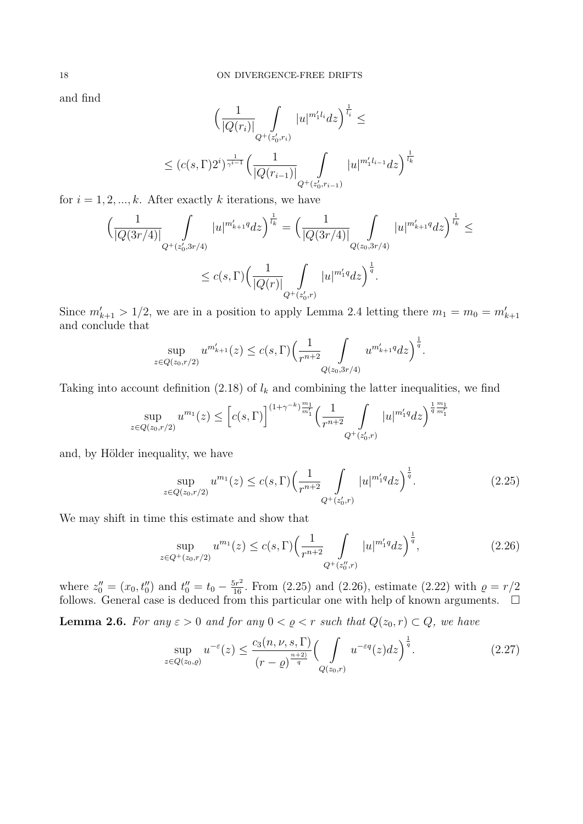and find

$$
\left(\frac{1}{|Q(r_i)|}\int_{Q^+(z'_0,r_i)}|u|^{m'_1l_i}dz\right)^{\frac{1}{l_i}} \le
$$
  

$$
\le (c(s,\Gamma)2^i)^{\frac{1}{\gamma^{i-1}}} \left(\frac{1}{|Q(r_{i-1})|}\int_{Q^+(z'_0,r_{i-1})}|u|^{m'_1l_{i-1}}dz\right)^{\frac{1}{l_k}}
$$

for  $i = 1, 2, \ldots, k$ . After exactly k iterations, we have

$$
\left(\frac{1}{|Q(3r/4)|}\int_{Q^+(z'_0,3r/4)}|u|^{m'_{k+1}q}dz\right)^{\frac{1}{l_k}} = \left(\frac{1}{|Q(3r/4)|}\int_{Q(z_0,3r/4)}|u|^{m'_{k+1}q}dz\right)^{\frac{1}{l_k}} \le
$$
  

$$
\le c(s,\Gamma)\left(\frac{1}{|Q(r)|}\int_{Q^+(z'_0,r)}|u|^{m'_1q}dz\right)^{\frac{1}{q}}.
$$

Since  $m'_{k+1} > 1/2$ , we are in a position to apply Lemma 2.4 letting there  $m_1 = m_0 = m'_{k+1}$ and conclude that

$$
\sup_{z \in Q(z_0, r/2)} u^{m'_{k+1}}(z) \le c(s, \Gamma) \left(\frac{1}{r^{n+2}} \int_{Q(z_0, 3r/4)} u^{m'_{k+1}q} dz\right)^{\frac{1}{q}}.
$$

Taking into account definition  $(2.18)$  of  $l_k$  and combining the latter inequalities, we find

$$
\sup_{z \in Q(z_0, r/2)} u^{m_1}(z) \le \left[ c(s, \Gamma) \right]^{(1+\gamma^{-k}) \frac{m_1}{m_1'}} \left( \frac{1}{r^{n+2}} \int_{Q^+(z'_0, r)} |u|^{m'_1 q} dz \right)^{\frac{1}{q} \frac{m_1}{m'_1}}
$$

and, by Hölder inequality, we have

$$
\sup_{z \in Q(z_0, r/2)} u^{m_1}(z) \le c(s, \Gamma) \left(\frac{1}{r^{n+2}} \int_{Q^+(z'_0, r)} |u|^{m'_1 q} dz\right)^{\frac{1}{q}}.
$$
\n(2.25)

We may shift in time this estimate and show that

$$
\sup_{z \in Q^+(z_0, r/2)} u^{m_1}(z) \le c(s, \Gamma) \Big( \frac{1}{r^{n+2}} \int_{Q^+(z_0'', r)} |u|^{m_1'} dz \Big)^{\frac{1}{q}},\tag{2.26}
$$

where  $z''_0 = (x_0, t''_0)$  and  $t''_0 = t_0 - \frac{5r^2}{16}$ . From (2.25) and (2.26), estimate (2.22) with  $\rho = r/2$ follows. General case is deduced from this particular one with help of known arguments.  $\Box$ 

**Lemma 2.6.** For any  $\varepsilon > 0$  and for any  $0 < \varrho < r$  such that  $Q(z_0, r) \subset Q$ , we have

$$
\sup_{z \in Q(z_0,\varrho)} u^{-\varepsilon}(z) \le \frac{c_3(n,\nu,s,\Gamma)}{(r-\varrho)^{\frac{n+2}{q}}} \Big(\int\limits_{Q(z_0,r)} u^{-\varepsilon q}(z)dz\Big)^{\frac{1}{q}}.\tag{2.27}
$$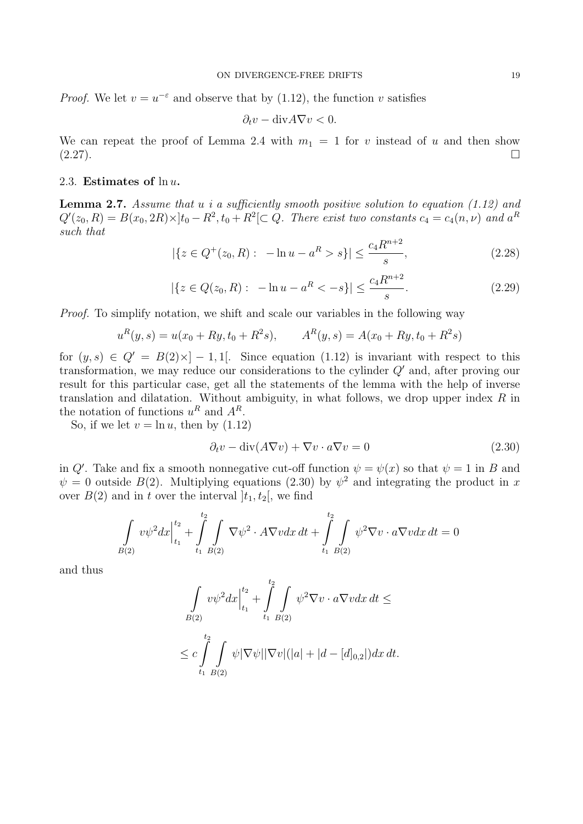*Proof.* We let  $v = u^{-\varepsilon}$  and observe that by (1.12), the function *v* satisfies

$$
\partial_t v - \text{div} A \nabla v < 0.
$$

We can repeat the proof of Lemma 2.4 with  $m_1 = 1$  for *v* instead of *u* and then show  $(2.27).$ 

# 2.3. **Estimates of** ln *u***.**

**Lemma 2.7.** *Assume that u i a sufficiently smooth positive solution to equation (1.12) and*  $Q'(z_0, R) = B(x_0, 2R) \times [t_0 - R^2, t_0 + R^2] \subset Q$ . There exist two constants  $c_4 = c_4(n, \nu)$  and  $a^R$ *such that*

$$
|\{z \in Q^+(z_0, R): -\ln u - a^R > s\}| \le \frac{c_4 R^{n+2}}{s},\tag{2.28}
$$

$$
|\{z \in Q(z_0, R) : -\ln u - a^R < -s\}| \le \frac{c_4 R^{n+2}}{s}.\tag{2.29}
$$

*Proof.* To simplify notation, we shift and scale our variables in the following way

$$
uR(y, s) = u(x0 + Ry, t0 + R2s), \qquad AR(y, s) = A(x0 + Ry, t0 + R2s)
$$

for  $(y, s) \in Q' = B(2) \times ]-1, 1[$ . Since equation (1.12) is invariant with respect to this transformation, we may reduce our considerations to the cylinder *Q′* and, after proving our result for this particular case, get all the statements of the lemma with the help of inverse translation and dilatation. Without ambiguity, in what follows, we drop upper index *R* in the notation of functions  $u^R$  and  $A^R$ .

So, if we let  $v = \ln u$ , then by  $(1.12)$ 

$$
\partial_t v - \operatorname{div}(A \nabla v) + \nabla v \cdot a \nabla v = 0 \tag{2.30}
$$

in *Q*<sup>*'*</sup>. Take and fix a smooth nonnegative cut-off function  $\psi = \psi(x)$  so that  $\psi = 1$  in *B* and  $\psi = 0$  outside *B*(2). Multiplying equations (2.30) by  $\psi^2$  and integrating the product in *x* over  $B(2)$  and in *t* over the interval  $|t_1, t_2|$ , we find

$$
\int_{B(2)} v\psi^2 dx \Big|_{t_1}^{t_2} + \int_{t_1}^{t_2} \int_{B(2)} \nabla \psi^2 \cdot A \nabla v dx dt + \int_{t_1}^{t_2} \int_{B(2)} \psi^2 \nabla v \cdot a \nabla v dx dt = 0
$$

and thus

$$
\int_{B(2)} v\psi^2 dx \Big|_{t_1}^{t_2} + \int_{t_1}^{t_2} \int_{B(2)} \psi^2 \nabla v \cdot a \nabla v dx dt \le
$$
  

$$
\leq c \int_{t_1}^{t_2} \int_{B(2)} \psi |\nabla \psi| |\nabla v| (|a| + |d - [d]_{0,2}|) dx dt.
$$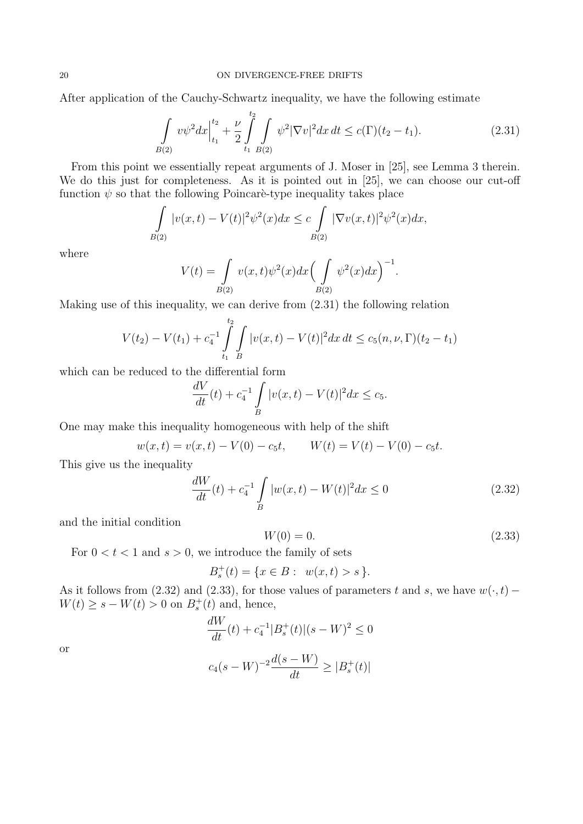After application of the Cauchy-Schwartz inequality, we have the following estimate

$$
\int_{B(2)} v\psi^2 dx \Big|_{t_1}^{t_2} + \frac{\nu}{2} \int_{t_1}^{t_2} \int_{B(2)} \psi^2 |\nabla v|^2 dx dt \le c(\Gamma)(t_2 - t_1).
$$
 (2.31)

From this point we essentially repeat arguments of J. Moser in [25], see Lemma 3 therein. We do this just for completeness. As it is pointed out in [25], we can choose our cut-off function  $\psi$  so that the following Poincare-type inequality takes place

$$
\int_{B(2)} |v(x,t) - V(t)|^2 \psi^2(x) dx \le c \int_{B(2)} |\nabla v(x,t)|^2 \psi^2(x) dx,
$$

where

$$
V(t) = \int_{B(2)} v(x,t)\psi^{2}(x)dx \Big(\int_{B(2)} \psi^{2}(x)dx\Big)^{-1}.
$$

Making use of this inequality, we can derive from (2.31) the following relation

$$
V(t_2) - V(t_1) + c_4^{-1} \int_{t_1}^{t_2} \int_{B} |v(x, t) - V(t)|^2 dx dt \le c_5(n, \nu, \Gamma)(t_2 - t_1)
$$

which can be reduced to the differential form

$$
\frac{dV}{dt}(t) + c_4^{-1} \int\limits_B |v(x,t) - V(t)|^2 dx \le c_5.
$$

One may make this inequality homogeneous with help of the shift

$$
w(x,t) = v(x,t) - V(0) - c_5t, \qquad W(t) = V(t) - V(0) - c_5t.
$$

This give us the inequality

$$
\frac{dW}{dt}(t) + c_4^{-1} \int\limits_B |w(x,t) - W(t)|^2 dx \le 0
$$
\n(2.32)

and the initial condition

$$
W(0) = 0.\t(2.33)
$$

For  $0 < t < 1$  and  $s > 0$ , we introduce the family of sets

$$
B_s^+(t) = \{ x \in B : w(x,t) > s \}.
$$

As it follows from (2.32) and (2.33), for those values of parameters *t* and *s*, we have  $w(\cdot, t)$  –  $W(t) \geq s - W(t) > 0$  on  $B_s^+(t)$  and, hence,

$$
\frac{dW}{dt}(t) + c_4^{-1}|B_s^+(t)|(s - W)^2 \le 0
$$
  

$$
c_4(s - W)^{-2}\frac{d(s - W)}{dt} \ge |B_s^+(t)|
$$

or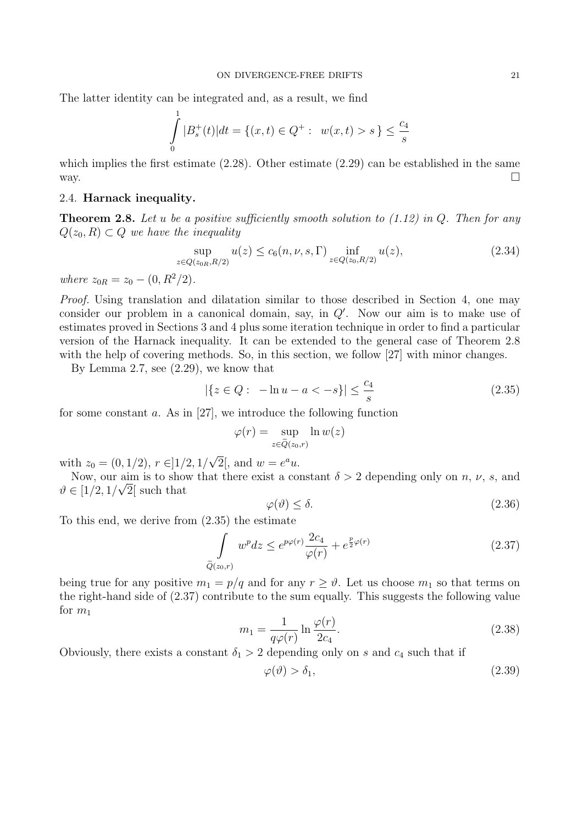The latter identity can be integrated and, as a result, we find

$$
\int_{0}^{1} |B_s^+(t)|dt = \{(x, t) \in Q^+ : w(x, t) > s\} \le \frac{c_4}{s}
$$

which implies the first estimate  $(2.28)$ . Other estimate  $(2.29)$  can be established in the same way.  $\Box$ 

# 2.4. **Harnack inequality.**

**Theorem 2.8.** *Let u be a positive sufficiently smooth solution to (1.12) in Q. Then for any*  $Q(z_0, R) ⊂ Q$  *we have the inequality* 

$$
\sup_{z \in Q(z_{0R}, R/2)} u(z) \le c_6(n, \nu, s, \Gamma) \inf_{z \in Q(z_0, R/2)} u(z),
$$
\n(2.34)

*where*  $z_{0R} = z_0 - (0, R^2/2)$ *.* 

*Proof.* Using translation and dilatation similar to those described in Section 4, one may consider our problem in a canonical domain, say, in *Q′* . Now our aim is to make use of estimates proved in Sections 3 and 4 plus some iteration technique in order to find a particular version of the Harnack inequality. It can be extended to the general case of Theorem 2.8 with the help of covering methods. So, in this section, we follow [27] with minor changes.

By Lemma 2.7, see (2.29), we know that

$$
|\{z \in Q : -\ln u - a < -s\}| \le \frac{c_4}{s} \tag{2.35}
$$

for some constant *a*. As in [27], we introduce the following function

$$
\varphi(r) = \sup_{z \in \tilde{Q}(z_0, r)} \ln w(z)
$$

with  $z_0 = (0, 1/2), r \in ]1/2, 1/2$ *√*  $\overline{2}$ , and  $w = e^a u$ .

Now, our aim is to show that there exist a constant  $\delta > 2$  depending only on *n*, *v*, *s*, and  $\vartheta \in [1/2, 1/\sqrt{2}]$  such that

$$
\varphi(\vartheta) \le \delta. \tag{2.36}
$$

To this end, we derive from (2.35) the estimate

$$
\int_{\tilde{Q}(z_0,r)} w^p dz \le e^{p\varphi(r)} \frac{2c_4}{\varphi(r)} + e^{\frac{p}{2}\varphi(r)} \tag{2.37}
$$

being true for any positive  $m_1 = p/q$  and for any  $r \geq \vartheta$ . Let us choose  $m_1$  so that terms on the right-hand side of (2.37) contribute to the sum equally. This suggests the following value for  $m_1$ 

$$
m_1 = \frac{1}{q\varphi(r)} \ln \frac{\varphi(r)}{2c_4}.
$$
\n(2.38)

Obviously, there exists a constant  $\delta_1 > 2$  depending only on *s* and  $c_4$  such that if

$$
\varphi(\vartheta) > \delta_1,\tag{2.39}
$$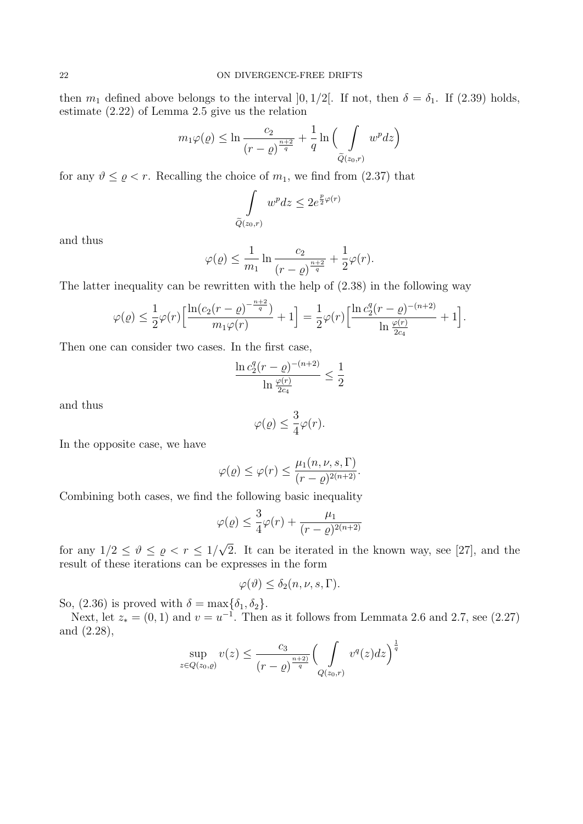then  $m_1$  defined above belongs to the interval  $]0, 1/2[$ . If not, then  $\delta = \delta_1$ . If (2.39) holds, estimate (2.22) of Lemma 2.5 give us the relation

$$
m_1\varphi(\varrho) \le \ln\frac{c_2}{(r-\varrho)^{\frac{n+2}{q}}} + \frac{1}{q}\ln\Big(\int\limits_{\widetilde{Q}(z_0,r)} w^p dz\Big)
$$

for any  $\vartheta \leq \varrho < r$ . Recalling the choice of  $m_1$ , we find from (2.37) that

$$
\int_{\tilde{Q}(z_0,r)} w^p dz \le 2e^{\frac{p}{2}\varphi(r)}
$$

and thus

$$
\varphi(\varrho) \le \frac{1}{m_1} \ln \frac{c_2}{(r-\varrho)^{\frac{n+2}{q}}} + \frac{1}{2} \varphi(r).
$$

The latter inequality can be rewritten with the help of (2.38) in the following way

$$
\varphi(\varrho) \le \frac{1}{2}\varphi(r)\Big[\frac{\ln(c_2(r-\varrho)^{-\frac{n+2}{q}})}{m_1\varphi(r)} + 1\Big] = \frac{1}{2}\varphi(r)\Big[\frac{\ln c_2^q(r-\varrho)^{-(n+2)}}{\ln\frac{\varphi(r)}{2c_4}} + 1\Big].
$$

Then one can consider two cases. In the first case,

$$
\frac{\ln c_2^q (r - \varrho)^{-(n+2)}}{\ln \frac{\varphi(r)}{2c_4}} \le \frac{1}{2}
$$

and thus

$$
\varphi(\varrho) \le \frac{3}{4}\varphi(r).
$$

In the opposite case, we have

$$
\varphi(\varrho) \le \varphi(r) \le \frac{\mu_1(n,\nu,s,\Gamma)}{(r-\varrho)^{2(n+2)}}.
$$

Combining both cases, we find the following basic inequality

$$
\varphi(\varrho) \le \frac{3}{4}\varphi(r) + \frac{\mu_1}{(r-\varrho)^{2(n+2)}}
$$

for any  $1/2 \leq \vartheta \leq \varrho < r \leq 1/2$ *√* 2. It can be iterated in the known way, see [27], and the result of these iterations can be expresses in the form

$$
\varphi(\vartheta) \le \delta_2(n, \nu, s, \Gamma).
$$

So, (2.36) is proved with  $\delta = \max{\{\delta_1, \delta_2\}}$ .

Next, let  $z_* = (0, 1)$  and  $v = u^{-1}$ . Then as it follows from Lemmata 2.6 and 2.7, see (2.27) and (2.28),

$$
\sup_{z \in Q(z_0, \varrho)} v(z) \le \frac{c_3}{(r-\varrho)^{\frac{n+2}{q}}} \Biggl(\int\limits_{Q(z_0, r)} v^q(z) dz\Biggr)^{\frac{1}{q}}
$$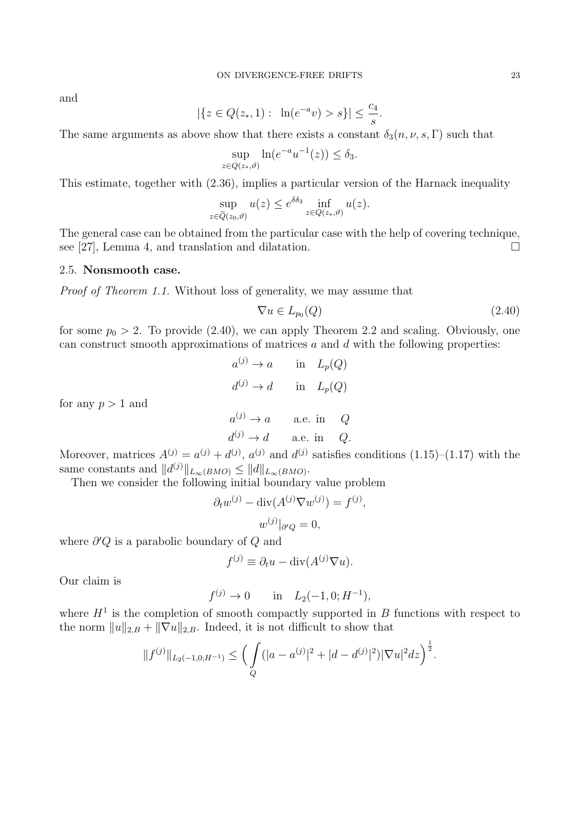and

$$
|\{z \in Q(z_*, 1): \ln(e^{-a}v) > s\}| \le \frac{c_4}{s}.
$$

The same arguments as above show that there exists a constant  $\delta_3(n, \nu, s, \Gamma)$  such that

$$
\sup_{z \in Q(z_*,\vartheta)} \ln(e^{-a}u^{-1}(z)) \le \delta_3.
$$

This estimate, together with (2.36), implies a particular version of the Harnack inequality

$$
\sup_{z \in \tilde{Q}(z_0, \vartheta)} u(z) \le e^{\delta \delta_3} \inf_{z \in Q(z_*, \vartheta)} u(z).
$$

The general case can be obtained from the particular case with the help of covering technique, see [27], Lemma 4, and translation and dilatation.  $\square$ 

### 2.5. **Nonsmooth case.**

for any  $p > 1$  and

*Proof of Theorem 1.1.* Without loss of generality, we may assume that

$$
\nabla u \in L_{p_0}(Q) \tag{2.40}
$$

for some  $p_0 > 2$ . To provide (2.40), we can apply Theorem 2.2 and scaling. Obviously, one can construct smooth approximations of matrices *a* and *d* with the following properties:

> $a^{(j)} \to a$  in  $L_p(Q)$  $d^{(j)} \to d$  in  $L_p(Q)$  $a^{(j)} \to a$  a.e. in *Q*  $d^{(j)} \to d$  a.e. in *Q*.

Moreover, matrices  $A^{(j)} = a^{(j)} + d^{(j)}$ ,  $a^{(j)}$  and  $d^{(j)}$  satisfies conditions (1.15)–(1.17) with the same constants and  $||d^{(j)}||_{L_{\infty}(BMO)} \leq ||d||_{L_{\infty}(BMO)}$ .

Then we consider the following initial boundary value problem

$$
\partial_t w^{(j)} - \text{div}(A^{(j)} \nabla w^{(j)}) = f^{(j)},
$$
  

$$
w^{(j)}|_{\partial Q} = 0,
$$

where *∂ ′Q* is a parabolic boundary of *Q* and

$$
f^{(j)} \equiv \partial_t u - \text{div}(A^{(j)} \nabla u).
$$

Our claim is

$$
f^{(j)} \to 0
$$
 in  $L_2(-1,0; H^{-1}),$ 

where  $H<sup>1</sup>$  is the completion of smooth compactly supported in *B* functions with respect to the norm  $||u||_{2,B} + ||\nabla u||_{2,B}$ . Indeed, it is not difficult to show that

$$
||f^{(j)}||_{L_2(-1,0;H^{-1})} \leq \Big(\int\limits_Q (|a-a^{(j)}|^2+|d-d^{(j)}|^2)|\nabla u|^2 dz\Big)^{\frac{1}{2}}.
$$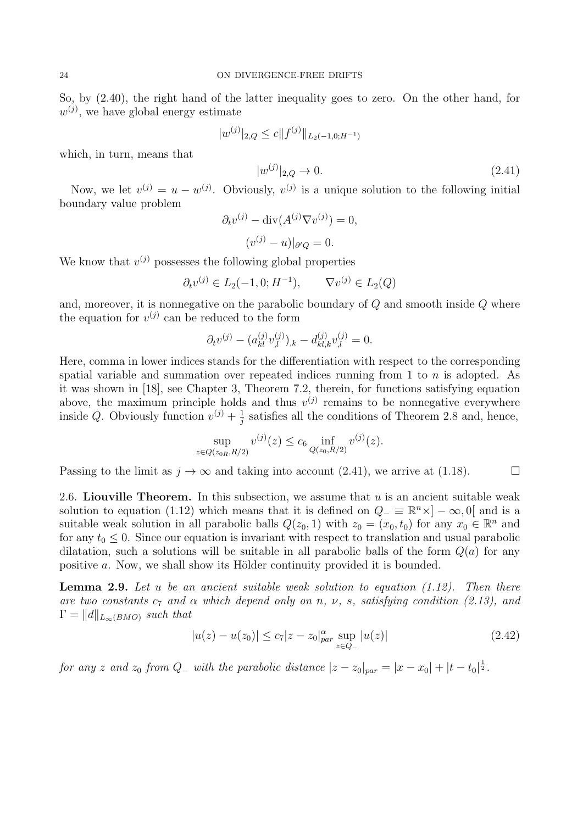So, by (2.40), the right hand of the latter inequality goes to zero. On the other hand, for  $w^{(j)}$ , we have global energy estimate

$$
|w^{(j)}|_{2,Q} \le c \|f^{(j)}\|_{L_2(-1,0;H^{-1})}
$$

which, in turn, means that

$$
|w^{(j)}|_{2,Q} \to 0. \tag{2.41}
$$

Now, we let  $v^{(j)} = u - w^{(j)}$ . Obviously,  $v^{(j)}$  is a unique solution to the following initial boundary value problem

$$
\partial_t v^{(j)} - \operatorname{div}(A^{(j)} \nabla v^{(j)}) = 0,
$$

$$
(v^{(j)} - u)|_{\partial Q} = 0.
$$

We know that  $v^{(j)}$  possesses the following global properties

$$
\partial_t v^{(j)} \in L_2(-1, 0; H^{-1}), \qquad \nabla v^{(j)} \in L_2(Q)
$$

and, moreover, it is nonnegative on the parabolic boundary of *Q* and smooth inside *Q* where the equation for  $v^{(j)}$  can be reduced to the form

$$
\partial_t v^{(j)} - (a_{kl}^{(j)} v_{,l}^{(j)})_{,k} - d_{kl,k}^{(j)} v_{,l}^{(j)} = 0.
$$

Here, comma in lower indices stands for the differentiation with respect to the corresponding spatial variable and summation over repeated indices running from 1 to *n* is adopted. As it was shown in [18], see Chapter 3, Theorem 7.2, therein, for functions satisfying equation above, the maximum principle holds and thus  $v^{(j)}$  remains to be nonnegative everywhere inside *Q*. Obviously function  $v^{(j)} + \frac{1}{i}$  $\frac{1}{j}$  satisfies all the conditions of Theorem 2.8 and, hence,

$$
\sup_{z \in Q(z_{0R}, R/2)} v^{(j)}(z) \le c_6 \inf_{Q(z_0, R/2)} v^{(j)}(z).
$$

Passing to the limit as  $j \to \infty$  and taking into account (2.41), we arrive at (1.18).

2.6. **Liouville Theorem.** In this subsection, we assume that *u* is an ancient suitable weak solution to equation (1.12) which means that it is defined on  $Q_-\equiv \mathbb{R}^n \times ]-\infty, 0[$  and is a suitable weak solution in all parabolic balls  $Q(z_0, 1)$  with  $z_0 = (x_0, t_0)$  for any  $x_0 \in \mathbb{R}^n$  and for any  $t_0 \leq 0$ . Since our equation is invariant with respect to translation and usual parabolic dilatation, such a solutions will be suitable in all parabolic balls of the form  $Q(a)$  for any positive *a*. Now, we shall show its Hölder continuity provided it is bounded.

**Lemma 2.9.** *Let u be an ancient suitable weak solution to equation (1.12). Then there are two constants*  $c_7$  *and*  $\alpha$  *which depend only on*  $n$ *,*  $\nu$ *, s, satisfying condition (2.13), and*  $\Gamma = ||d||_{L_{\infty}(BMO)}$  *such that* 

$$
|u(z) - u(z_0)| \le c_7 |z - z_0|_{par}^{\alpha} \sup_{z \in Q_-} |u(z)| \tag{2.42}
$$

for any z and z<sub>0</sub> from  $Q_{-}$  with the parabolic distance  $|z - z_0|_{par} = |x - x_0| + |t - t_0|^{\frac{1}{2}}$ .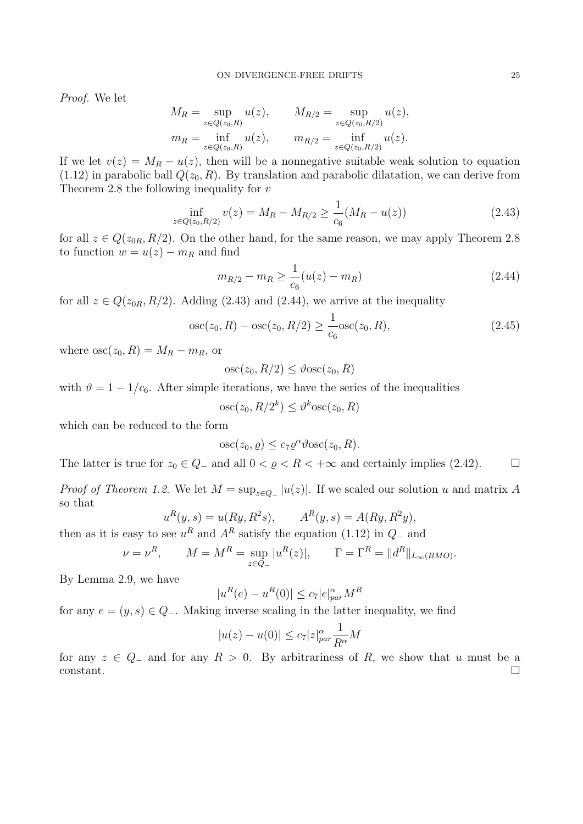*Proof.* We let

$$
M_R = \sup_{z \in Q(z_0, R)} u(z), \qquad M_{R/2} = \sup_{z \in Q(z_0, R/2)} u(z),
$$
  
\n
$$
m_R = \inf_{z \in Q(z_0, R)} u(z), \qquad m_{R/2} = \inf_{z \in Q(z_0, R/2)} u(z).
$$

If we let  $v(z) = M_R - u(z)$ , then will be a nonnegative suitable weak solution to equation  $(1.12)$  in parabolic ball  $Q(z_0, R)$ . By translation and parabolic dilatation, we can derive from Theorem 2.8 the following inequality for *v*

$$
\inf_{z \in Q(z_0, R/2)} v(z) = M_R - M_{R/2} \ge \frac{1}{c_6} (M_R - u(z)) \tag{2.43}
$$

for all  $z \in Q(z_{0R}, R/2)$ . On the other hand, for the same reason, we may apply Theorem 2.8 to function  $w = u(z) - m_R$  and find

$$
m_{R/2} - m_R \ge \frac{1}{c_6} (u(z) - m_R) \tag{2.44}
$$

for all  $z \in Q(z_{0R}, R/2)$ . Adding (2.43) and (2.44), we arrive at the inequality

$$
\operatorname{osc}(z_0, R) - \operatorname{osc}(z_0, R/2) \ge \frac{1}{c_6} \operatorname{osc}(z_0, R),\tag{2.45}
$$

where  $\operatorname{osc}(z_0, R) = M_R - m_R$ , or

$$
osc(z_0, R/2) \leq \vartheta osc(z_0, R)
$$

with  $\vartheta = 1 - 1/c_6$ . After simple iterations, we have the series of the inequalities

$$
osc(z_0, R/2^k) \le \vartheta^k osc(z_0, R)
$$

which can be reduced to the form

$$
osc(z_0, \varrho) \le c_7 \varrho^{\alpha} \vartheta osc(z_0, R).
$$

The latter is true for  $z_0 \in Q_-\$  and all  $0 < \varrho < R < +\infty$  and certainly implies (2.42).

*Proof of Theorem 1.2.* We let  $M = \sup_{z \in Q_{-}} |u(z)|$ . If we scaled our solution *u* and matrix *A* so that

$$
u^{R}(y, s) = u(Ry, R^{2}s), \qquad A^{R}(y, s) = A(Ry, R^{2}y),
$$

then as it is easy to see  $u^R$  and  $A^R$  satisfy the equation (1.12) in  $Q$ <sub>−</sub> and

$$
= \nu^R, \qquad M = M^R = \sup_{z \in Q_-} |u^R(z)|, \qquad \Gamma = \Gamma^R = ||d^R||_{L_\infty(BMO)}.
$$

By Lemma 2.9, we have

 $ν$ 

$$
|u^R(e) - u^R(0)| \le c_7 |e|_{par}^{\alpha} M^R
$$

for any  $e = (y, s) \in Q_$ *-*. Making inverse scaling in the latter inequality, we find

$$
|u(z) - u(0)| \le c_7 |z|_{par}^{\alpha} \frac{1}{R^{\alpha}} M
$$

for any  $z \in Q_-\$  and for any  $R > 0$ . By arbitrariness of  $R$ , we show that  $u$  must be a constant.  $\Box$ constant.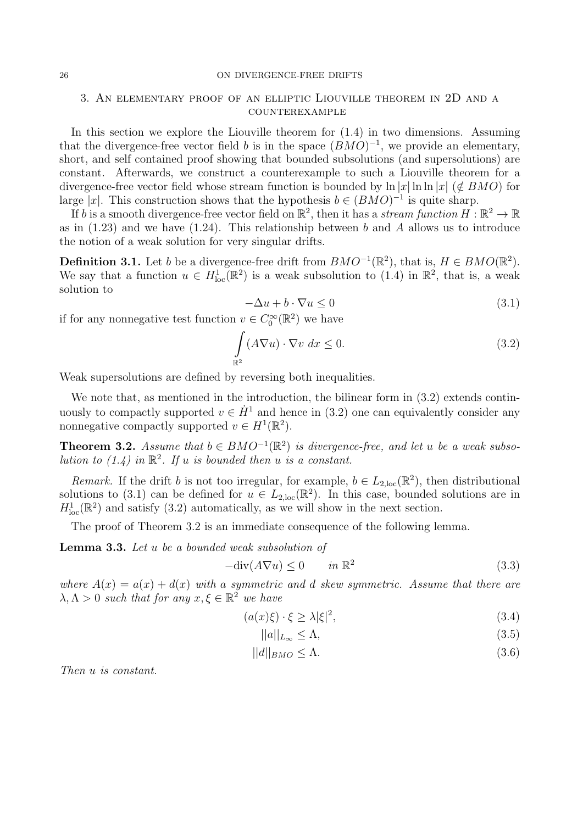#### 26 ON DIVERGENCE-FREE DRIFTS

# 3. An elementary proof of an elliptic Liouville theorem in 2D and a counterexample

In this section we explore the Liouville theorem for  $(1.4)$  in two dimensions. Assuming that the divergence-free vector field *b* is in the space  $(BMO)^{-1}$ , we provide an elementary, short, and self contained proof showing that bounded subsolutions (and supersolutions) are constant. Afterwards, we construct a counterexample to such a Liouville theorem for a divergence-free vector field whose stream function is bounded by  $\ln |x| \ln \ln |x|$  ( $\notin BMO$ ) for large  $|x|$ . This construction shows that the hypothesis  $b \in (BMO)^{-1}$  is quite sharp.

If *b* is a smooth divergence-free vector field on  $\mathbb{R}^2$ , then it has a *stream function*  $H : \mathbb{R}^2 \to \mathbb{R}$ as in (1.23) and we have (1.24). This relationship between *b* and *A* allows us to introduce the notion of a weak solution for very singular drifts.

**Definition 3.1.** Let *b* be a divergence-free drift from  $BMO^{-1}(\mathbb{R}^2)$ , that is,  $H \in BMO(\mathbb{R}^2)$ . We say that a function  $u \in H^1_{loc}(\mathbb{R}^2)$  is a weak subsolution to (1.4) in  $\mathbb{R}^2$ , that is, a weak solution to

$$
-\Delta u + b \cdot \nabla u \le 0 \tag{3.1}
$$

if for any nonnegative test function  $v \in C_0^{\infty}(\mathbb{R}^2)$  we have

$$
\int_{\mathbb{R}^2} (A\nabla u) \cdot \nabla v \, dx \le 0.
$$
\n(3.2)

Weak supersolutions are defined by reversing both inequalities.

We note that, as mentioned in the introduction, the bilinear form in  $(3.2)$  extends continuously to compactly supported  $v \in \dot{H}^1$  and hence in (3.2) one can equivalently consider any nonnegative compactly supported  $v \in H^1(\mathbb{R}^2)$ .

**Theorem 3.2.** *Assume that*  $b \in BMO^{-1}(\mathbb{R}^2)$  *is divergence-free, and let u be a weak subsolution to (1.4) in*  $\mathbb{R}^2$ . If *u is bounded then u is a constant.* 

*Remark.* If the drift *b* is not too irregular, for example,  $b \in L_{2,loc}(\mathbb{R}^2)$ , then distributional solutions to (3.1) can be defined for  $u \in L_{2,loc}(\mathbb{R}^2)$ . In this case, bounded solutions are in  $H_{\text{loc}}^1(\mathbb{R}^2)$  and satisfy (3.2) automatically, as we will show in the next section.

The proof of Theorem 3.2 is an immediate consequence of the following lemma.

**Lemma 3.3.** *Let u be a bounded weak subsolution of*

$$
-\text{div}(A\nabla u) \le 0 \qquad in \ \mathbb{R}^2 \tag{3.3}
$$

*where*  $A(x) = a(x) + d(x)$  *with a symmetric and d skew symmetric.* Assume that there are  $\lambda, \Lambda > 0$  *such that for any*  $x, \xi \in \mathbb{R}^2$  *we have* 

$$
(a(x)\xi) \cdot \xi \ge \lambda |\xi|^2,\tag{3.4}
$$

$$
||a||_{L_{\infty}} \leq \Lambda,\tag{3.5}
$$

$$
||d||_{BMO} \le \Lambda. \tag{3.6}
$$

*Then u is constant.*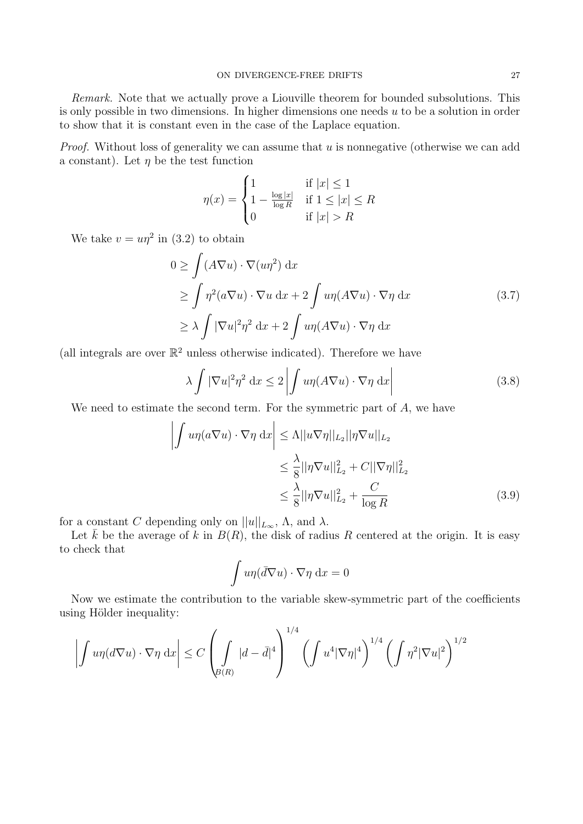*Remark.* Note that we actually prove a Liouville theorem for bounded subsolutions. This is only possible in two dimensions. In higher dimensions one needs *u* to be a solution in order to show that it is constant even in the case of the Laplace equation.

*Proof.* Without loss of generality we can assume that *u* is nonnegative (otherwise we can add a constant). Let  $\eta$  be the test function

$$
\eta(x) = \begin{cases} 1 & \text{if } |x| \le 1 \\ 1 - \frac{\log|x|}{\log R} & \text{if } 1 \le |x| \le R \\ 0 & \text{if } |x| > R \end{cases}
$$

We take  $v = u\eta^2$  in (3.2) to obtain

$$
0 \ge \int (A\nabla u) \cdot \nabla (u\eta^2) dx
$$
  
\n
$$
\ge \int \eta^2 (a\nabla u) \cdot \nabla u dx + 2 \int u\eta (A\nabla u) \cdot \nabla \eta dx
$$
  
\n
$$
\ge \lambda \int |\nabla u|^2 \eta^2 dx + 2 \int u\eta (A\nabla u) \cdot \nabla \eta dx
$$
\n(3.7)

(all integrals are over  $\mathbb{R}^2$  unless otherwise indicated). Therefore we have

$$
\lambda \int |\nabla u|^2 \eta^2 dx \le 2 \left| \int u \eta (A \nabla u) \cdot \nabla \eta dx \right| \tag{3.8}
$$

We need to estimate the second term. For the symmetric part of *A*, we have

$$
\left| \int u\eta(a\nabla u) \cdot \nabla \eta \, dx \right| \leq \Lambda ||u\nabla \eta||_{L_2} ||\eta \nabla u||_{L_2}
$$
  

$$
\leq \frac{\lambda}{8} ||\eta \nabla u||_{L_2}^2 + C ||\nabla \eta||_{L_2}^2
$$
  

$$
\leq \frac{\lambda}{8} ||\eta \nabla u||_{L_2}^2 + \frac{C}{\log R}
$$
 (3.9)

for a constant *C* depending only on  $||u||_{L_{\infty}}$ ,  $\Lambda$ , and  $\lambda$ .

Let  $\bar{k}$  be the average of  $k$  in  $B(R)$ , the disk of radius  $R$  centered at the origin. It is easy to check that

$$
\int u\eta(\bar{d}\nabla u)\cdot\nabla\eta\,\mathrm{d}x=0
$$

Now we estimate the contribution to the variable skew-symmetric part of the coefficients using Hölder inequality:

$$
\left| \int u\eta(d\nabla u) \cdot \nabla \eta \, dx \right| \leq C \left( \int_{B(R)} |d - \bar{d}|^4 \right)^{1/4} \left( \int u^4 |\nabla \eta|^4 \right)^{1/4} \left( \int \eta^2 |\nabla u|^2 \right)^{1/2}
$$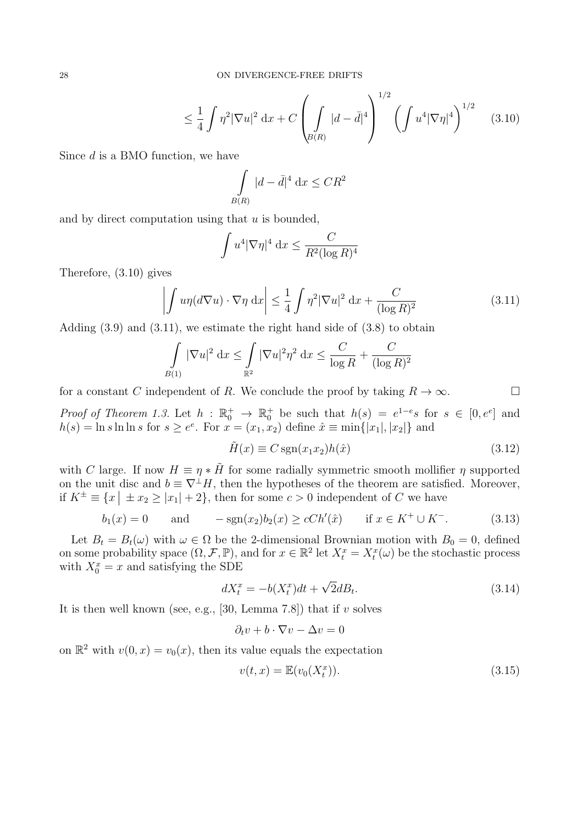$$
\leq \frac{1}{4} \int \eta^2 |\nabla u|^2 dx + C \left( \int_{\beta(R)} |d - \bar{d}|^4 \right)^{1/2} \left( \int u^4 |\nabla \eta|^4 \right)^{1/2} \tag{3.10}
$$

Since *d* is a BMO function, we have

$$
\int\limits_{B(R)} |d - \bar{d}|^4 \, \mathrm{d}x \leq CR^2
$$

and by direct computation using that *u* is bounded,

$$
\int u^4 |\nabla \eta|^4 \, \mathrm{d}x \le \frac{C}{R^2 (\log R)^4}
$$

Therefore, (3.10) gives

$$
\left| \int u\eta(d\nabla u) \cdot \nabla \eta \, dx \right| \leq \frac{1}{4} \int \eta^2 |\nabla u|^2 \, dx + \frac{C}{(\log R)^2} \tag{3.11}
$$

Adding  $(3.9)$  and  $(3.11)$ , we estimate the right hand side of  $(3.8)$  to obtain

$$
\int_{B(1)} |\nabla u|^2 dx \le \int_{\mathbb{R}^2} |\nabla u|^2 \eta^2 dx \le \frac{C}{\log R} + \frac{C}{(\log R)^2}
$$

for a constant *C* independent of *R*. We conclude the proof by taking  $R \to \infty$ .

*Proof of Theorem 1.3.* Let  $h : \mathbb{R}_0^+ \to \mathbb{R}_0^+$  be such that  $h(s) = e^{1-e}s$  for  $s \in [0, e^e]$  and  $h(s) = \ln s \ln \ln s$  for  $s \ge e^e$ . For  $x = (x_1, x_2)$  define  $\hat{x} \equiv \min\{|x_1|, |x_2|\}$  and

$$
\tilde{H}(x) \equiv C \operatorname{sgn}(x_1 x_2) h(\hat{x}) \tag{3.12}
$$

with *C* large. If now  $H \equiv \eta * \tilde{H}$  for some radially symmetric smooth mollifier  $\eta$  supported on the unit disc and  $b \equiv \nabla^{\perp} H$ , then the hypotheses of the theorem are satisfied. Moreover, if  $K^{\pm} \equiv \{x \mid \pm x_2 \geq |x_1| + 2\}$ , then for some  $c > 0$  independent of *C* we have

$$
b_1(x) = 0
$$
 and  $-\text{sgn}(x_2)b_2(x) \ge cCh'(\hat{x})$  if  $x \in K^+ \cup K^-$ . (3.13)

Let  $B_t = B_t(\omega)$  with  $\omega \in \Omega$  be the 2-dimensional Brownian motion with  $B_0 = 0$ , defined on some probability space  $(\Omega, \mathcal{F}, \mathbb{P})$ , and for  $x \in \mathbb{R}^2$  let  $X_t^x = X_t^x(\omega)$  be the stochastic process with  $X_0^x = x$  and satisfying the SDE

$$
dX_t^x = -b(X_t^x)dt + \sqrt{2}dB_t.
$$
\n(3.14)

It is then well known (see, e.g., [30, Lemma 7.8]) that if *v* solves

$$
\partial_t v + b \cdot \nabla v - \Delta v = 0
$$

on  $\mathbb{R}^2$  with  $v(0, x) = v_0(x)$ , then its value equals the expectation

$$
v(t,x) = \mathbb{E}(v_0(X_t^x)).
$$
\n
$$
(3.15)
$$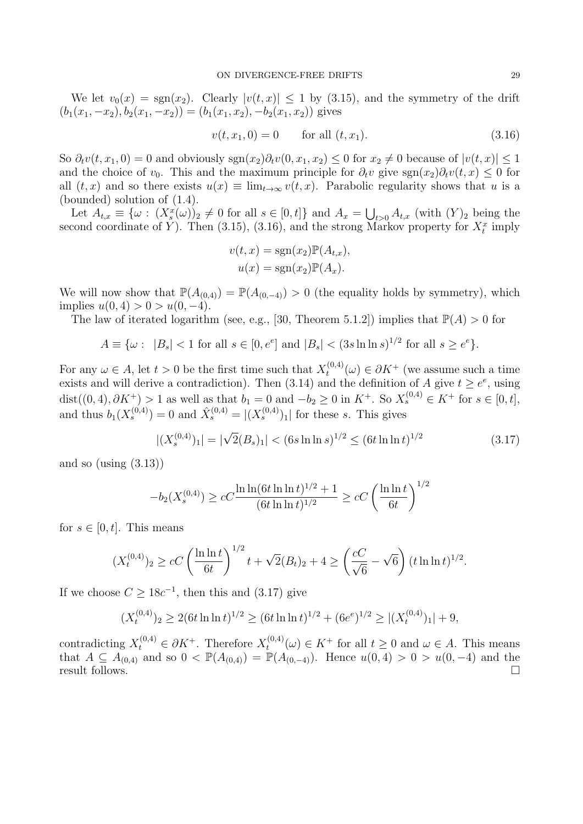We let  $v_0(x) = \text{sgn}(x_2)$ . Clearly  $|v(t,x)| \leq 1$  by (3.15), and the symmetry of the drift  $(b_1(x_1, -x_2), b_2(x_1, -x_2)) = (b_1(x_1, x_2), -b_2(x_1, x_2))$  gives

$$
v(t, x_1, 0) = 0 \qquad \text{for all } (t, x_1). \tag{3.16}
$$

So  $\partial_t v(t, x_1, 0) = 0$  and obviously  $\text{sgn}(x_2) \partial_t v(0, x_1, x_2) \leq 0$  for  $x_2 \neq 0$  because of  $|v(t, x)| \leq 1$ and the choice of  $v_0$ . This and the maximum principle for  $\partial_t v$  give sgn $(x_2)\partial_t v(t, x) \leq 0$  for all  $(t, x)$  and so there exists  $u(x) \equiv \lim_{t \to \infty} v(t, x)$ . Parabolic regularity shows that *u* is a (bounded) solution of (1.4).

Let  $A_{t,x} \equiv \{\omega : (X_s^x(\omega))_2 \neq 0 \text{ for all } s \in [0,t]\}\$ and  $A_x = \bigcup_{t>0} A_{t,x}$  (with  $(Y)_2$  being the second coordinate of *Y*). Then  $(3.15)$ ,  $(3.16)$ , and the strong Markov property for  $X_t^x$  imply

$$
v(t, x) = \text{sgn}(x_2) \mathbb{P}(A_{t,x}),
$$
  

$$
u(x) = \text{sgn}(x_2) \mathbb{P}(A_x).
$$

We will now show that  $\mathbb{P}(A_{(0,4)}) = \mathbb{P}(A_{(0,-4)}) > 0$  (the equality holds by symmetry), which  $\text{implies } u(0,4) > 0 > u(0,-4).$ 

The law of iterated logarithm (see, e.g., [30, Theorem 5.1.2]) implies that  $\mathbb{P}(A) > 0$  for

$$
A \equiv \{ \omega : |B_s| < 1 \text{ for all } s \in [0, e^e] \text{ and } |B_s| < (3s \ln \ln s)^{1/2} \text{ for all } s \ge e^e \}.
$$

For any  $\omega \in A$ , let  $t > 0$  be the first time such that  $X_t^{(0,4)}$  $t_t^{(0,4)}(\omega) \in \partial K^+$  (we assume such a time exists and will derive a contradiction). Then  $(3.14)$  and the definition of *A* give  $t \geq e^e$ , using dist( $(0, 4)$ ,  $\partial K^+$ ) > 1 as well as that  $b_1 = 0$  and  $-b_2 \ge 0$  in  $K^+$ . So  $X_s^{(0,4)} \in K^+$  for  $s \in [0, t]$ , and thus  $b_1(X_s^{(0,4)}) = 0$  and  $\hat{X}_s^{(0,4)} = |(X_s^{(0,4)})_1|$  for these *s*. This gives

$$
|(X_s^{(0,4)})_1| = |\sqrt{2}(B_s)_1| < (6s \ln \ln s)^{1/2} \le (6t \ln \ln t)^{1/2}
$$
\n(3.17)

and so (using  $(3.13)$ )

$$
-b_2(X_s^{(0,4)}) \ge cC \frac{\ln \ln (6t \ln \ln t)^{1/2} + 1}{(6t \ln \ln t)^{1/2}} \ge cC \left(\frac{\ln \ln t}{6t}\right)^{1/2}
$$

for  $s \in [0, t]$ . This means

$$
(X_t^{(0,4)})_2 \ge cC \left(\frac{\ln \ln t}{6t}\right)^{1/2} t + \sqrt{2}(B_t)_2 + 4 \ge \left(\frac{cC}{\sqrt{6}} - \sqrt{6}\right) (t \ln \ln t)^{1/2}.
$$

If we choose  $C \ge 18c^{-1}$ , then this and (3.17) give

$$
(X_t^{(0,4)})_2 \ge 2(6t \ln \ln t)^{1/2} \ge (6t \ln \ln t)^{1/2} + (6e^e)^{1/2} \ge |(X_t^{(0,4)})_1| + 9,
$$

contradicting  $X_t^{(0,4)} \in \partial K^+$ . Therefore  $X_t^{(0,4)}$  $t_t^{(0,4)}(\omega) \in K^+$  for all  $t \geq 0$  and  $\omega \in A$ . This means that *A* ⊆  $A_{(0,4)}^{\circ}$  and so 0 <  $\mathbb{P}(A_{(0,4)}) = \mathbb{P}(A_{(0,-4)})$ . Hence  $u(0,4) > 0 > u(0,-4)$  and the result follows result follows.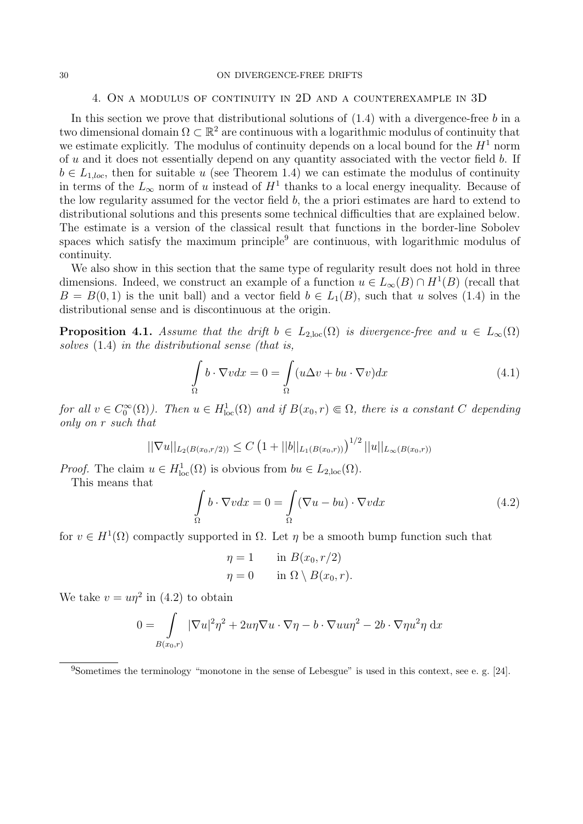#### 30 ON DIVERGENCE-FREE DRIFTS

### 4. On a modulus of continuity in 2D and a counterexample in 3D

In this section we prove that distributional solutions of (1.4) with a divergence-free *b* in a two dimensional domain  $\Omega \subset \mathbb{R}^2$  are continuous with a logarithmic modulus of continuity that we estimate explicitly. The modulus of continuity depends on a local bound for the  $H<sup>1</sup>$  norm of *u* and it does not essentially depend on any quantity associated with the vector field *b*. If  $b \in L_{1,loc}$ , then for suitable *u* (see Theorem 1.4) we can estimate the modulus of continuity in terms of the  $L_{\infty}$  norm of *u* instead of  $H^1$  thanks to a local energy inequality. Because of the low regularity assumed for the vector field *b*, the a priori estimates are hard to extend to distributional solutions and this presents some technical difficulties that are explained below. The estimate is a version of the classical result that functions in the border-line Sobolev spaces which satisfy the maximum principle<sup>9</sup> are continuous, with logarithmic modulus of continuity.

We also show in this section that the same type of regularity result does not hold in three dimensions. Indeed, we construct an example of a function  $u \in L_\infty(B) \cap H^1(B)$  (recall that  $B = B(0, 1)$  is the unit ball) and a vector field  $b \in L_1(B)$ , such that *u* solves (1.4) in the distributional sense and is discontinuous at the origin.

**Proposition 4.1.** *Assume that the drift*  $b \in L_{2,loc}(\Omega)$  *is divergence-free and*  $u \in L_{\infty}(\Omega)$ *solves* (1.4) *in the distributional sense (that is,*

$$
\int_{\Omega} b \cdot \nabla v dx = 0 = \int_{\Omega} (u \Delta v + bu \cdot \nabla v) dx \tag{4.1}
$$

*for all*  $v \in C_0^{\infty}(\Omega)$ *). Then*  $u \in H_{loc}^1(\Omega)$  *and if*  $B(x_0, r) \in \Omega$ *, there is a constant C depending only on r such that*

$$
||\nabla u||_{L_2(B(x_0,r/2))} \leq C \left(1+||b||_{L_1(B(x_0,r))}\right)^{1/2}||u||_{L_\infty(B(x_0,r))}
$$

*Proof.* The claim  $u \in H^1_{loc}(\Omega)$  is obvious from  $bu \in L_{2,loc}(\Omega)$ .

This means that

$$
\int_{\Omega} b \cdot \nabla v dx = 0 = \int_{\Omega} (\nabla u - bu) \cdot \nabla v dx \tag{4.2}
$$

for  $v \in H^1(\Omega)$  compactly supported in  $\Omega$ . Let  $\eta$  be a smooth bump function such that

$$
\eta = 1 \quad \text{in } B(x_0, r/2)
$$

$$
\eta = 0 \quad \text{in } \Omega \setminus B(x_0, r).
$$

We take  $v = u\eta^2$  in (4.2) to obtain

$$
0 = \int_{B(x_0,r)} |\nabla u|^2 \eta^2 + 2u\eta \nabla u \cdot \nabla \eta - b \cdot \nabla u u \eta^2 - 2b \cdot \nabla \eta u^2 \eta \, dx
$$

<sup>9</sup>Sometimes the terminology "monotone in the sense of Lebesgue" is used in this context, see e. g. [24].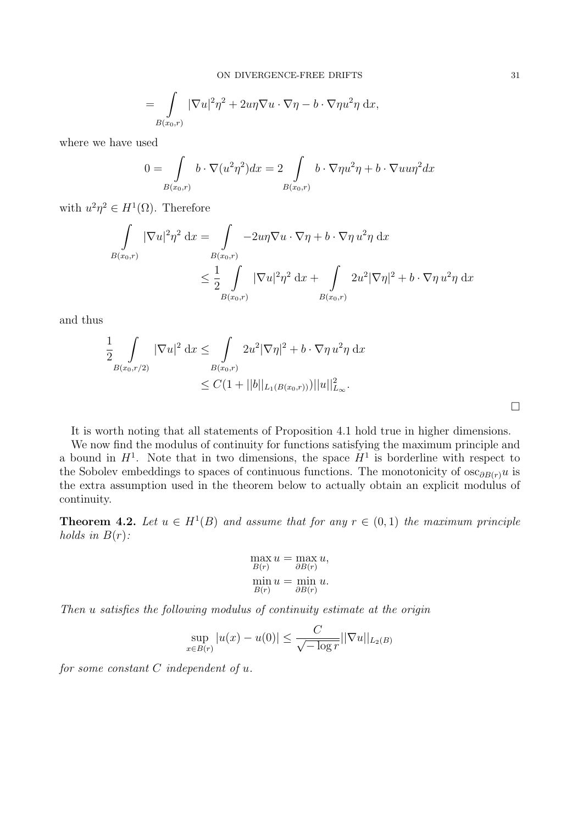ON DIVERGENCE-FREE DRIFTS 31

$$
= \int_{B(x_0,r)} |\nabla u|^2 \eta^2 + 2u\eta \nabla u \cdot \nabla \eta - b \cdot \nabla \eta u^2 \eta \, dx,
$$

where we have used

$$
0 = \int_{B(x_0,r)} b \cdot \nabla(u^2 \eta^2) dx = 2 \int_{B(x_0,r)} b \cdot \nabla \eta u^2 \eta + b \cdot \nabla u u \eta^2 dx
$$

with  $u^2\eta^2 \in H^1(\Omega)$ . Therefore

$$
\int_{B(x_0,r)} |\nabla u|^2 \eta^2 dx = \int_{B(x_0,r)} -2u\eta \nabla u \cdot \nabla \eta + b \cdot \nabla \eta u^2 \eta dx
$$
  

$$
\leq \frac{1}{2} \int_{B(x_0,r)} |\nabla u|^2 \eta^2 dx + \int_{B(x_0,r)} 2u^2 |\nabla \eta|^2 + b \cdot \nabla \eta u^2 \eta dx
$$

and thus

$$
\frac{1}{2} \int\limits_{B(x_0,r/2)} |\nabla u|^2 \, dx \leq \int\limits_{B(x_0,r)} 2u^2 |\nabla \eta|^2 + b \cdot \nabla \eta \, u^2 \eta \, dx
$$
  
 
$$
\leq C(1+||b||_{L_1(B(x_0,r)))} ||u||_{L_\infty}^2.
$$

It is worth noting that all statements of Proposition 4.1 hold true in higher dimensions.

We now find the modulus of continuity for functions satisfying the maximum principle and a bound in  $H^1$ . Note that in two dimensions, the space  $H^1$  is borderline with respect to the Sobolev embeddings to spaces of continuous functions. The monotonicity of  $\cos \theta_{B(r)} u$  is the extra assumption used in the theorem below to actually obtain an explicit modulus of continuity.

**Theorem 4.2.** Let  $u \in H^1(B)$  and assume that for any  $r \in (0,1)$  the maximum principle *holds in*  $B(r)$ *:* 

$$
\max_{B(r)} u = \max_{\partial B(r)} u,
$$
  
\n
$$
\min_{B(r)} u = \min_{\partial B(r)} u.
$$

*Then u satisfies the following modulus of continuity estimate at the origin*

$$
\sup_{x \in B(r)} |u(x) - u(0)| \le \frac{C}{\sqrt{-\log r}} ||\nabla u||_{L_2(B)}
$$

*for some constant C independent of u.*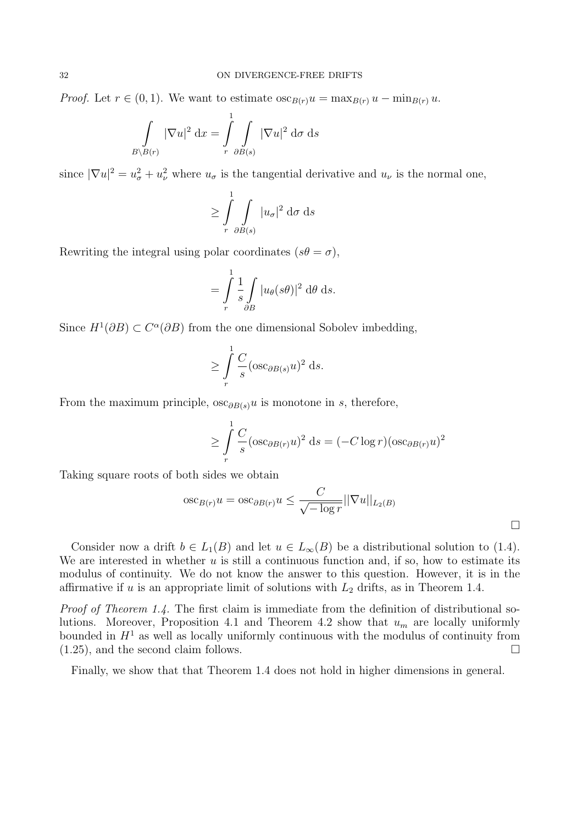*Proof.* Let  $r \in (0,1)$ . We want to estimate  $\csc_{B(r)} u = \max_{B(r)} u - \min_{B(r)} u$ .

$$
\int_{B\setminus B(r)} |\nabla u|^2 \, \mathrm{d}x = \int_{r}^{1} \int_{\partial B(s)} |\nabla u|^2 \, \mathrm{d}\sigma \, \mathrm{d}s
$$

since  $|\nabla u|^2 = u^2_{\sigma} + u^2_{\nu}$  where  $u_{\sigma}$  is the tangential derivative and  $u_{\nu}$  is the normal one,

$$
\geq \int_{r}^{1} \int_{\partial B(s)} |u_{\sigma}|^2 d\sigma ds
$$

Rewriting the integral using polar coordinates  $(s\theta = \sigma)$ ,

$$
= \int\limits_r^1 \frac{1}{s} \int\limits_{\partial B} |u_\theta(s\theta)|^2 \, \mathrm{d}\theta \, \mathrm{d}s.
$$

Since  $H^1(\partial B) \subset C^{\alpha}(\partial B)$  from the one dimensional Sobolev imbedding,

$$
\geq \int\limits_r^1 \frac{C}{s} (\operatorname{osc}_{\partial B(s)} u)^2 ds.
$$

From the maximum principle,  $\csc_{\partial B(s)} u$  is monotone in *s*, therefore,

$$
\geq \int\limits_r^1 \frac{C}{s} (\operatorname{osc}_{\partial B(r)} u)^2 ds = (-C \log r)(\operatorname{osc}_{\partial B(r)} u)^2
$$

 $\Box$ 

Taking square roots of both sides we obtain

$$
\operatorname{osc}_{B(r)} u = \operatorname{osc}_{\partial B(r)} u \le \frac{C}{\sqrt{-\log r}} ||\nabla u||_{L_2(B)}
$$

Consider now a drift  $b \in L_1(B)$  and let  $u \in L_\infty(B)$  be a distributional solution to (1.4). We are interested in whether *u* is still a continuous function and, if so, how to estimate its modulus of continuity. We do not know the answer to this question. However, it is in the affirmative if *u* is an appropriate limit of solutions with *L*<sup>2</sup> drifts, as in Theorem 1.4.

*Proof of Theorem 1.4.* The first claim is immediate from the definition of distributional solutions. Moreover, Proposition 4.1 and Theorem 4.2 show that *u<sup>m</sup>* are locally uniformly bounded in  $H<sup>1</sup>$  as well as locally uniformly continuous with the modulus of continuity from  $(1.25)$ , and the second claim follows.

Finally, we show that that Theorem 1.4 does not hold in higher dimensions in general.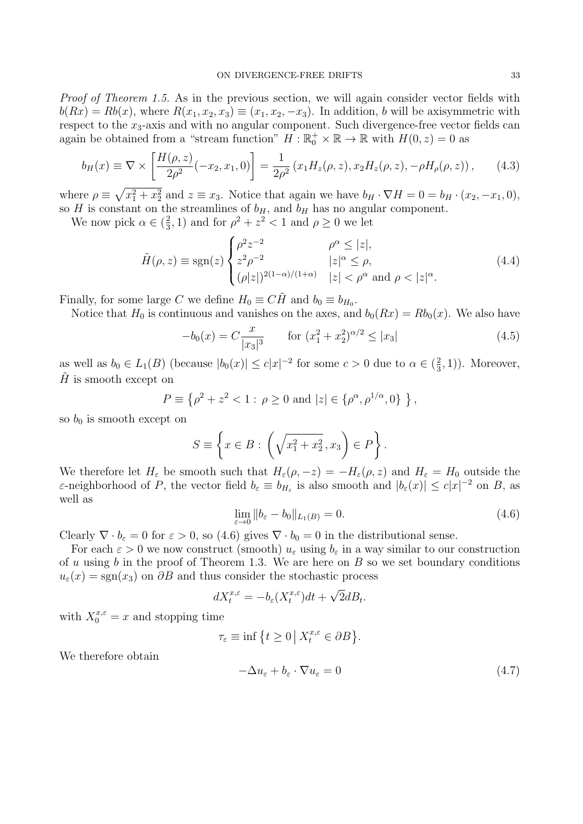*Proof of Theorem 1.5.* As in the previous section, we will again consider vector fields with  $b(Rx) = Rb(x)$ , where  $R(x_1, x_2, x_3) \equiv (x_1, x_2, -x_3)$ . In addition, *b* will be axisymmetric with respect to the  $x_3$ -axis and with no angular component. Such divergence-free vector fields can again be obtained from a "stream function"  $H : \mathbb{R}_0^+ \times \mathbb{R} \to \mathbb{R}$  with  $H(0, z) = 0$  as

$$
b_H(x) \equiv \nabla \times \left[ \frac{H(\rho, z)}{2\rho^2} (-x_2, x_1, 0) \right] = \frac{1}{2\rho^2} (x_1 H_z(\rho, z), x_2 H_z(\rho, z), -\rho H_\rho(\rho, z)), \tag{4.3}
$$

where  $\rho \equiv \sqrt{x_1^2 + x_2^2}$  and  $z \equiv x_3$ . Notice that again we have  $b_H \cdot \nabla H = 0 = b_H \cdot (x_2, -x_1, 0)$ , so *H* is constant on the streamlines of  $b_H$ , and  $b_H$  has no angular component.

We now pick  $\alpha \in (\frac{2}{3})$  $\frac{2}{3}$ , 1) and for  $\rho^2 + z^2 < 1$  and  $\rho \ge 0$  we let

$$
\tilde{H}(\rho, z) \equiv \text{sgn}(z) \begin{cases}\n\rho^2 z^{-2} & \rho^\alpha \le |z|, \\
z^2 \rho^{-2} & |z|^\alpha \le \rho, \\
(\rho |z|)^{2(1-\alpha)/(1+\alpha)} & |z| < \rho^\alpha \text{ and } \rho < |z|^\alpha.\n\end{cases} \tag{4.4}
$$

Finally, for some large *C* we define  $H_0 \equiv C\tilde{H}$  and  $b_0 \equiv b_{H_0}$ .

Notice that  $H_0$  is continuous and vanishes on the axes, and  $b_0(Rx) = Rb_0(x)$ . We also have

$$
-b_0(x) = C \frac{x}{|x_3|^3} \qquad \text{for } (x_1^2 + x_2^2)^{\alpha/2} \le |x_3| \tag{4.5}
$$

as well as  $b_0 \in L_1(B)$  (because  $|b_0(x)| \leq c|x|^{-2}$  for some  $c > 0$  due to  $\alpha \in (\frac{2}{3})$  $(\frac{2}{3}, 1)$ ). Moreover,  $H$  is smooth except on

$$
P \equiv \left\{ \rho^2 + z^2 < 1 : \rho \ge 0 \text{ and } |z| \in \left\{ \rho^{\alpha}, \rho^{1/\alpha}, 0 \right\} \right\},
$$

so  $b_0$  is smooth except on

$$
S \equiv \left\{ x \in B : \left( \sqrt{x_1^2 + x_2^2}, x_3 \right) \in P \right\}.
$$

We therefore let  $H_{\varepsilon}$  be smooth such that  $H_{\varepsilon}(\rho, -z) = -H_{\varepsilon}(\rho, z)$  and  $H_{\varepsilon} = H_0$  outside the  $\varepsilon$ -neighborhood of P, the vector field  $b_{\varepsilon} \equiv b_{H_{\varepsilon}}$  is also smooth and  $|b_{\varepsilon}(x)| \leq c|x|^{-2}$  on B, as well as

$$
\lim_{\varepsilon \to 0} \|b_{\varepsilon} - b_0\|_{L_1(B)} = 0. \tag{4.6}
$$

Clearly  $\nabla \cdot b_{\varepsilon} = 0$  for  $\varepsilon > 0$ , so (4.6) gives  $\nabla \cdot b_0 = 0$  in the distributional sense.

For each  $\varepsilon > 0$  we now construct (smooth)  $u_{\varepsilon}$  using  $b_{\varepsilon}$  in a way similar to our construction of *u* using *b* in the proof of Theorem 1.3. We are here on *B* so we set boundary conditions  $u_{\varepsilon}(x) = \text{sgn}(x_3)$  on  $\partial B$  and thus consider the stochastic process

$$
dX_t^{x,\varepsilon} = -b_{\varepsilon}(X_t^{x,\varepsilon})dt + \sqrt{2}dB_t.
$$

with  $X_0^{x,\varepsilon} = x$  and stopping time

$$
\tau_{\varepsilon} \equiv \inf \left\{ t \ge 0 \, \big| \, X_t^{x,\varepsilon} \in \partial B \right\}.
$$

We therefore obtain

$$
-\Delta u_{\varepsilon} + b_{\varepsilon} \cdot \nabla u_{\varepsilon} = 0 \tag{4.7}
$$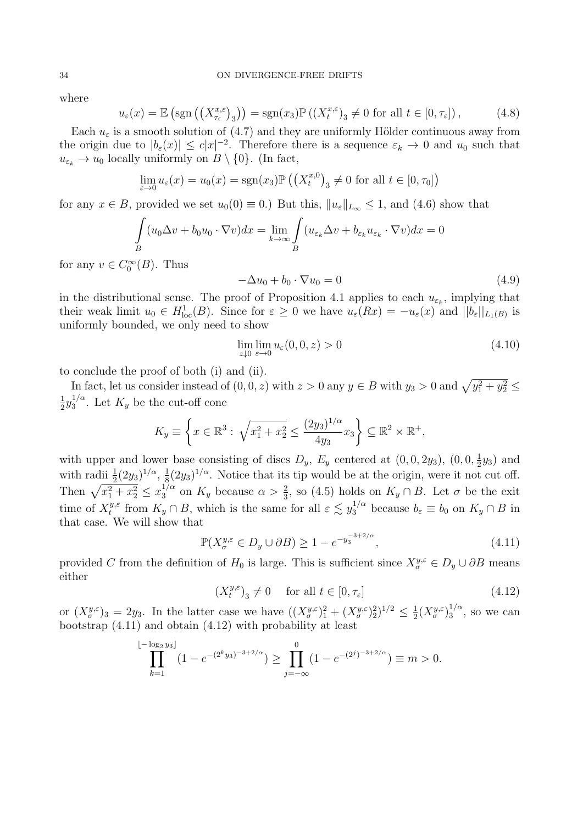where

$$
u_{\varepsilon}(x) = \mathbb{E}\left(\text{sgn}\left(\left(X_{\tau_{\varepsilon}}^{x,\varepsilon}\right)_{3}\right)\right) = \text{sgn}(x_{3})\mathbb{P}\left(\left(X_{t}^{x,\varepsilon}\right)_{3} \neq 0 \text{ for all } t \in [0,\tau_{\varepsilon}]\right),\tag{4.8}
$$

Each  $u_{\varepsilon}$  is a smooth solution of (4.7) and they are uniformly Hölder continuous away from the origin due to  $|b_{\varepsilon}(x)| \leq c|x|^{-2}$ . Therefore there is a sequence  $\varepsilon_k \to 0$  and  $u_0$  such that  $u_{\varepsilon_k} \to u_0$  locally uniformly on  $B \setminus \{0\}$ . (In fact,

$$
\lim_{\varepsilon \to 0} u_{\varepsilon}(x) = u_0(x) = \text{sgn}(x_3) \mathbb{P}\left(\left(X_t^{x,0}\right)_3 \neq 0 \text{ for all } t \in [0, \tau_0]\right)
$$

for any  $x \in B$ , provided we set  $u_0(0) \equiv 0$ .) But this,  $||u_\varepsilon||_{L_\infty} \leq 1$ , and (4.6) show that

$$
\int_{B} (u_0 \Delta v + b_0 u_0 \cdot \nabla v) dx = \lim_{k \to \infty} \int_{B} (u_{\varepsilon_k} \Delta v + b_{\varepsilon_k} u_{\varepsilon_k} \cdot \nabla v) dx = 0
$$

for any  $v \in C_0^{\infty}(B)$ . Thus

$$
-\Delta u_0 + b_0 \cdot \nabla u_0 = 0 \tag{4.9}
$$

in the distributional sense. The proof of Proposition 4.1 applies to each  $u_{\varepsilon_k}$ , implying that their weak limit  $u_0 \in H^1_{loc}(B)$ . Since for  $\varepsilon \geq 0$  we have  $u_{\varepsilon}(Rx) = -u_{\varepsilon}(x)$  and  $||b_{\varepsilon}||_{L_1(B)}$  is uniformly bounded, we only need to show

$$
\lim_{z \downarrow 0} \lim_{\varepsilon \to 0} u_{\varepsilon}(0,0,z) > 0 \tag{4.10}
$$

to conclude the proof of both (i) and (ii).

In fact, let us consider instead of  $(0, 0, z)$  with  $z > 0$  any  $y \in B$  with  $y_3 > 0$  and  $\sqrt{y_1^2 + y_2^2} \le$ 1  $\frac{1}{2}y_3^{1/\alpha}$  $\frac{1}{3}$ <sup> $\alpha$ </sup>. Let  $K_y$  be the cut-off cone

$$
K_y \equiv \left\{ x \in \mathbb{R}^3 : \sqrt{x_1^2 + x_2^2} \le \frac{(2y_3)^{1/\alpha}}{4y_3} x_3 \right\} \subseteq \mathbb{R}^2 \times \mathbb{R}^+,
$$

with upper and lower base consisting of discs  $D_y$ ,  $E_y$  centered at  $(0,0,2y_3)$ ,  $(0,0,\frac{1}{2})$  $\frac{1}{2}y_3$ ) and with radii  $\frac{1}{2}(2y_3)^{1/\alpha}$ ,  $\frac{1}{8}$  $\frac{1}{8}(2y_3)^{1/\alpha}$ . Notice that its tip would be at the origin, were it not cut off. Then  $\sqrt{x_1^2 + x_2^2} \le x_3^{1/\alpha}$  $\frac{1}{3}$  on  $K_y$  because  $\alpha > \frac{2}{3}$ , so (4.5) holds on  $K_y \cap B$ . Let  $\sigma$  be the exit time of  $X_t^{y,\varepsilon}$ *t*<sup>*y*,ε</sup> from  $K_y \cap B$ , which is the same for all  $\varepsilon \lesssim y_3^{1/\alpha}$  because  $b_{\varepsilon} \equiv b_0$  on  $K_y \cap B$  in that case. We will show that

$$
\mathbb{P}(X_{\sigma}^{y,\varepsilon} \in D_y \cup \partial B) \ge 1 - e^{-y_3^{-3+2/\alpha}},\tag{4.11}
$$

provided *C* from the definition of  $H_0$  is large. This is sufficient since  $X_{\sigma}^{y,\varepsilon} \in D_y \cup \partial B$  means either

$$
(X_t^{y,\varepsilon})_3 \neq 0 \quad \text{ for all } t \in [0, \tau_{\varepsilon}]
$$
\n
$$
(4.12)
$$

or  $(X^{y,\varepsilon}_{\sigma})_3 = 2y_3$ . In the latter case we have  $((X^{y,\varepsilon}_{\sigma})_1^2 + (X^{y,\varepsilon}_{\sigma})_2^2)^{1/2} \leq \frac{1}{2}$  $\frac{1}{2}(X^{y,\varepsilon}_\sigma)^{1/\alpha}_3$  $\frac{1}{3}$ <sup>'</sup>, so we can bootstrap (4.11) and obtain (4.12) with probability at least

$$
\prod_{k=1}^{\lfloor -\log_2 y_3 \rfloor} (1 - e^{-(2^k y_3)^{-3+2/\alpha}}) \ge \prod_{j=-\infty}^0 (1 - e^{-(2^j)^{-3+2/\alpha}}) \equiv m > 0.
$$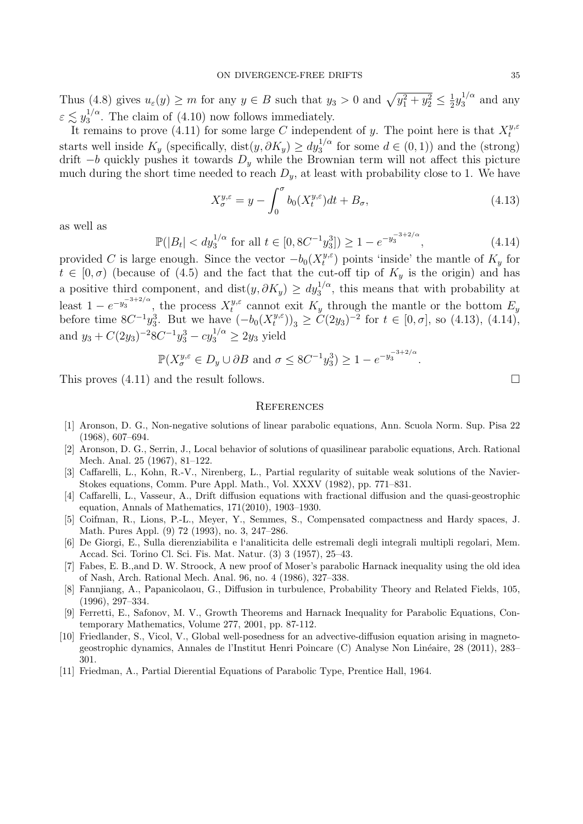Thus (4.8) gives  $u_{\varepsilon}(y) \geq m$  for any  $y \in B$  such that  $y_3 > 0$  and  $\sqrt{y_1^2 + y_2^2} \leq \frac{1}{2}$  $\frac{1}{2}y_3^{1/\alpha}$  $a_3^{1/\alpha}$  and any  $\varepsilon \lesssim y_3^{1/\alpha}$  $3^{1/\alpha}$ . The claim of (4.10) now follows immediately.

It remains to prove  $(4.11)$  for some large *C* independent of *y*. The point here is that  $X_t^{y,\varepsilon}$ *t* starts well inside  $K_y$  (specifically, dist $(y, \partial K_y) \ge dy_3^{1/\alpha}$  for some  $d \in (0, 1)$ ) and the (strong) drift *−b* quickly pushes it towards *D<sup>y</sup>* while the Brownian term will not affect this picture much during the short time needed to reach  $D_y$ , at least with probability close to 1. We have

$$
X_{\sigma}^{y,\varepsilon} = y - \int_0^{\sigma} b_0(X_t^{y,\varepsilon}) dt + B_{\sigma}, \tag{4.13}
$$

as well as

$$
\mathbb{P}(|B_t| < dy_3^{1/\alpha} \text{ for all } t \in [0, 8C^{-1}y_3^3]) \ge 1 - e^{-y_3^{-3+2/\alpha}},\tag{4.14}
$$

provided *C* is large enough. Since the vector  $-b_0(X_t^{y,\varepsilon})$  $t^{y,\varepsilon}$  points 'inside' the mantle of  $K_y$  for  $t \in [0, \sigma)$  (because of (4.5) and the fact that the cut-off tip of  $K_y$  is the origin) and has a positive third component, and  $dist(y, \partial K_y) \ge dy_3^{1/\alpha}$ , this means that with probability at least  $1 - e^{-y_3^{-3+2/\alpha}}$ , the process  $X_t^{y,\varepsilon}$  $t^{y,\varepsilon}$  cannot exit  $K_y$  through the mantle or the bottom  $E_y$ before time  $8C^{-1}y_3^3$ . But we have  $(-b_0(X_t^{y,\varepsilon}))$  $(t<sup>y,ε</sup>)$ <sub>3</sub> ≥ *C*(2*y*<sub>3</sub>)<sup>-2</sup> for *t* ∈ [0*, σ*], so (4.13), (4.14), and  $y_3 + C(2y_3)^{-2}8C^{-1}y_3^3 - cy_3^{1/\alpha} \ge 2y_3$  yield

$$
\mathbb{P}(X_{\sigma}^{y,\varepsilon} \in D_y \cup \partial B \text{ and } \sigma \le 8C^{-1}y_3^3) \ge 1 - e^{-y_3^{-3+2/\alpha}}.
$$

This proves  $(4.11)$  and the result follows.

### **REFERENCES**

- [1] Aronson, D. G., Non-negative solutions of linear parabolic equations, Ann. Scuola Norm. Sup. Pisa 22 (1968), 607–694.
- [2] Aronson, D. G., Serrin, J., Local behavior of solutions of quasilinear parabolic equations, Arch. Rational Mech. Anal. 25 (1967), 81–122.
- [3] Caffarelli, L., Kohn, R.-V., Nirenberg, L., Partial regularity of suitable weak solutions of the Navier-Stokes equations, Comm. Pure Appl. Math., Vol. XXXV (1982), pp. 771–831.
- [4] Caffarelli, L., Vasseur, A., Drift diffusion equations with fractional diffusion and the quasi-geostrophic equation, Annals of Mathematics, 171(2010), 1903–1930.
- [5] Coifman, R., Lions, P.-L., Meyer, Y., Semmes, S., Compensated compactness and Hardy spaces, J. Math. Pures Appl. (9) 72 (1993), no. 3, 247–286.
- [6] De Giorgi, E., Sulla dierenziabilita e l'analiticita delle estremali degli integrali multipli regolari, Mem. Accad. Sci. Torino Cl. Sci. Fis. Mat. Natur. (3) 3 (1957), 25–43.
- [7] Fabes, E. B.,and D. W. Stroock, A new proof of Moser's parabolic Harnack inequality using the old idea of Nash, Arch. Rational Mech. Anal. 96, no. 4 (1986), 327–338.
- [8] Fannjiang, A., Papanicolaou, G., Diffusion in turbulence, Probability Theory and Related Fields, 105, (1996), 297–334.
- [9] Ferretti, E., Safonov, M. V., Growth Theorems and Harnack Inequality for Parabolic Equations, Contemporary Mathematics, Volume 277, 2001, pp. 87-112.
- [10] Friedlander, S., Vicol, V., Global well-posedness for an advective-diffusion equation arising in magnetogeostrophic dynamics, Annales de l'Institut Henri Poincare (C) Analyse Non Linéaire, 28 (2011), 283– 301.
- [11] Friedman, A., Partial Dierential Equations of Parabolic Type, Prentice Hall, 1964.